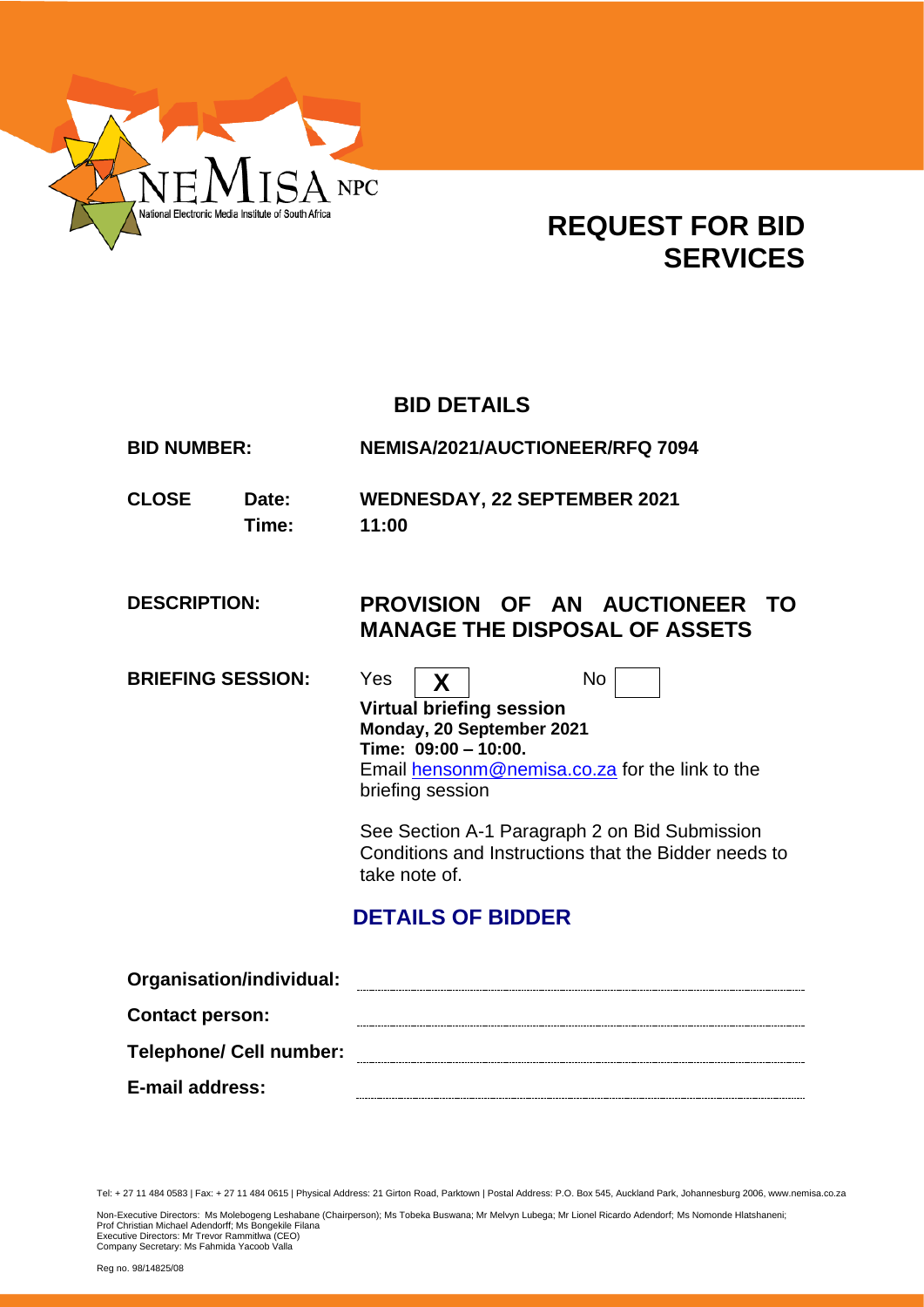

# **REQUEST FOR BID SERVICES**

# **BID DETAILS**

**BID NUMBER: NEMISA/2021/AUCTIONEER/RFQ 7094**

**CLOSE Date: WEDNESDAY, 22 SEPTEMBER 2021 Time: 11:00**

# **DESCRIPTION: PROVISION OF AN AUCTIONEER TO MANAGE THE DISPOSAL OF ASSETS**

**BRIEFING SESSION:** Yes  $\vert$  **X**  $\vert$  No



**Virtual briefing session Monday, 20 September 2021 Time: 09:00 – 10:00.** Email [hensonm@nemisa.co.za](mailto:hensonm@nemisa.co.za) for the link to the briefing session

See Section A-1 Paragraph 2 on Bid Submission Conditions and Instructions that the Bidder needs to take note of.

# **DETAILS OF BIDDER**

| Organisation/individual:       |  |
|--------------------------------|--|
| <b>Contact person:</b>         |  |
| <b>Telephone/ Cell number:</b> |  |
| E-mail address:                |  |

Tel: + 27 11 484 0583 | Fax: + 27 11 484 0615 | Physical Address: 21 Girton Road, Parktown | Postal Address: P.O. Box 545, Auckland Park, Johannesburg 2006, www.nemisa.co.za

Non-Executive Directors: Ms Molebogeng Leshabane (Chairperson); Ms Tobeka Buswana; Mr Melvyn Lubega; Mr Lionel Ricardo Adendorf; Ms Nomonde Hlatshaneni;<br>Prof Christian Michael Adendorff; Ms Bongekile Filana<br>Executive Dire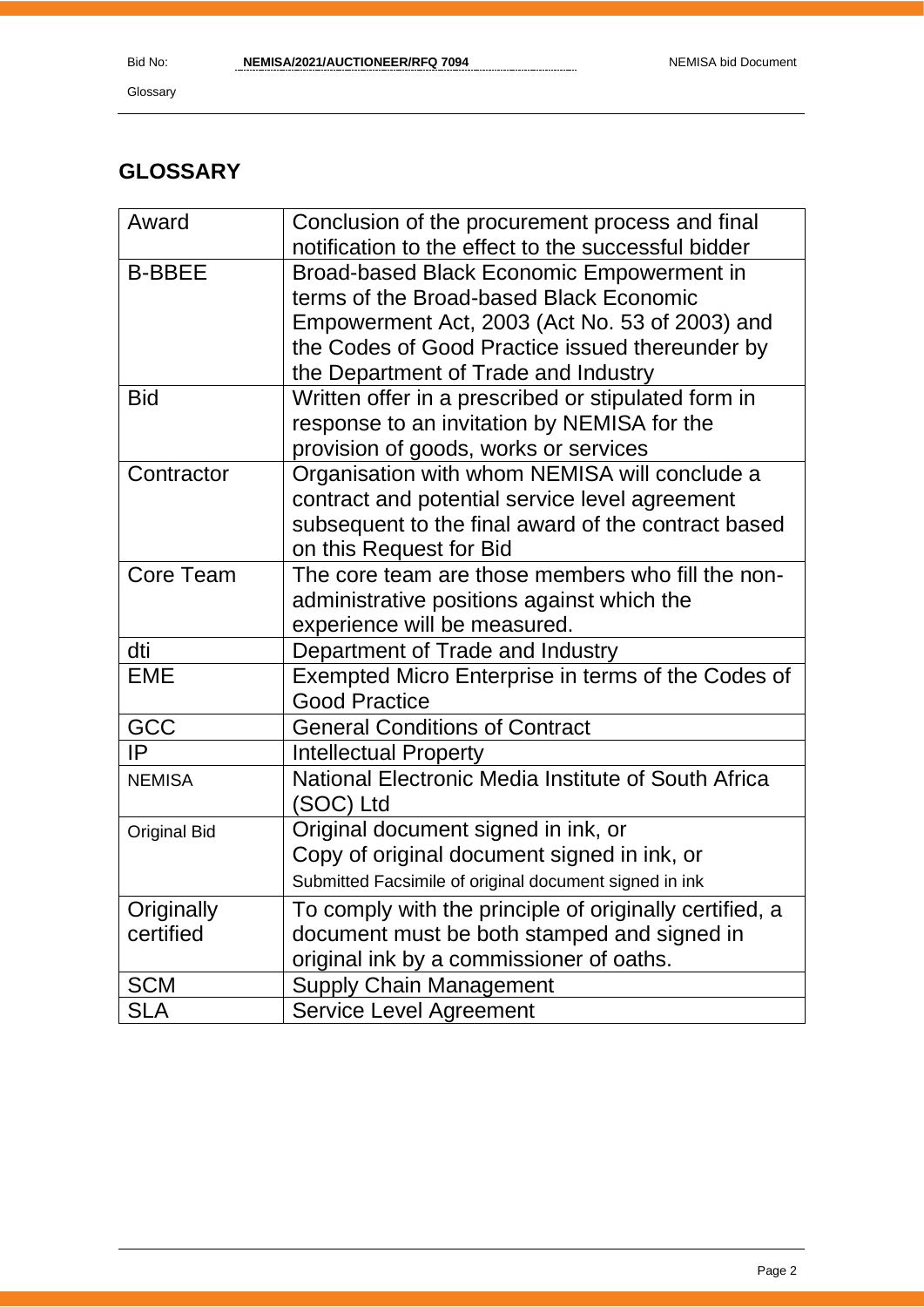# **GLOSSARY**

| Award               | Conclusion of the procurement process and final         |
|---------------------|---------------------------------------------------------|
|                     | notification to the effect to the successful bidder     |
| <b>B-BBEE</b>       | Broad-based Black Economic Empowerment in               |
|                     | terms of the Broad-based Black Economic                 |
|                     | Empowerment Act, 2003 (Act No. 53 of 2003) and          |
|                     | the Codes of Good Practice issued thereunder by         |
|                     | the Department of Trade and Industry                    |
| <b>Bid</b>          | Written offer in a prescribed or stipulated form in     |
|                     | response to an invitation by NEMISA for the             |
|                     | provision of goods, works or services                   |
| Contractor          | Organisation with whom NEMISA will conclude a           |
|                     | contract and potential service level agreement          |
|                     | subsequent to the final award of the contract based     |
|                     | on this Request for Bid                                 |
| Core Team           | The core team are those members who fill the non-       |
|                     | administrative positions against which the              |
|                     | experience will be measured.                            |
| dti                 | Department of Trade and Industry                        |
| <b>EME</b>          | Exempted Micro Enterprise in terms of the Codes of      |
|                     | <b>Good Practice</b>                                    |
| GCC                 | <b>General Conditions of Contract</b>                   |
| IP                  | <b>Intellectual Property</b>                            |
| <b>NEMISA</b>       | National Electronic Media Institute of South Africa     |
|                     | (SOC) Ltd                                               |
| <b>Original Bid</b> | Original document signed in ink, or                     |
|                     | Copy of original document signed in ink, or             |
|                     | Submitted Facsimile of original document signed in ink  |
| Originally          | To comply with the principle of originally certified, a |
| certified           | document must be both stamped and signed in             |
|                     | original ink by a commissioner of oaths.                |
| <b>SCM</b>          | <b>Supply Chain Management</b>                          |
| <b>SLA</b>          | <b>Service Level Agreement</b>                          |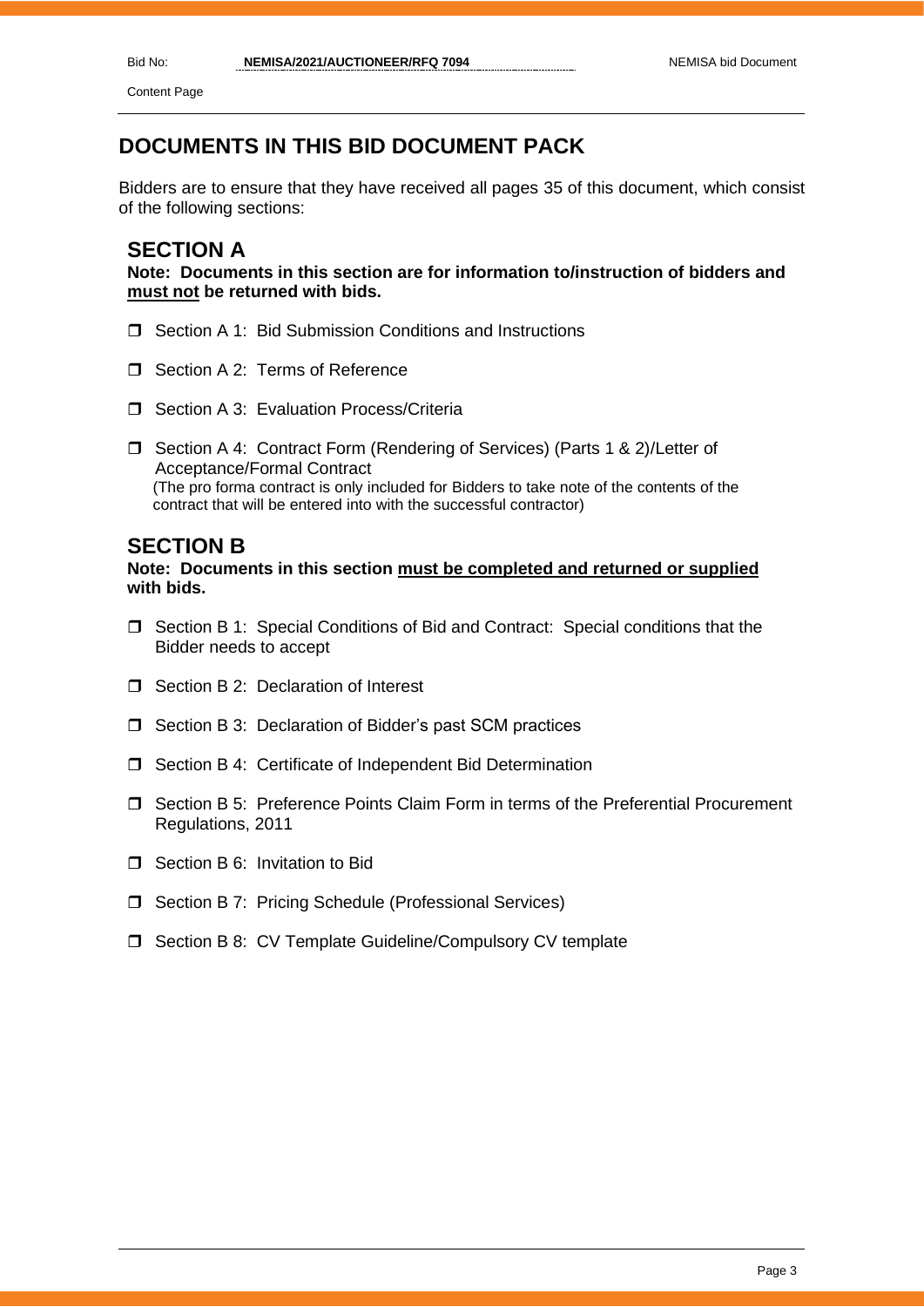Content Page

# **DOCUMENTS IN THIS BID DOCUMENT PACK**

Bidders are to ensure that they have received all pages 35 of this document, which consist of the following sections:

## **SECTION A**

**Note: Documents in this section are for information to/instruction of bidders and must not be returned with bids.**

- □ Section A 1: Bid Submission Conditions and Instructions
- Section A 2: Terms of Reference
- □ Section A 3: Evaluation Process/Criteria
- □ Section A 4: Contract Form (Rendering of Services) (Parts 1 & 2)/Letter of Acceptance/Formal Contract (The pro forma contract is only included for Bidders to take note of the contents of the contract that will be entered into with the successful contractor)

## **SECTION B**

## **Note: Documents in this section must be completed and returned or supplied with bids.**

- $\Box$  Section B 1: Special Conditions of Bid and Contract: Special conditions that the Bidder needs to accept
- $\Box$  Section B 2: Declaration of Interest
- □ Section B 3: Declaration of Bidder's past SCM practices
- □ Section B 4: Certificate of Independent Bid Determination
- Section B 5: Preference Points Claim Form in terms of the Preferential Procurement Regulations, 2011
- □ Section B 6: Invitation to Bid
- □ Section B 7: Pricing Schedule (Professional Services)
- □ Section B 8: CV Template Guideline/Compulsory CV template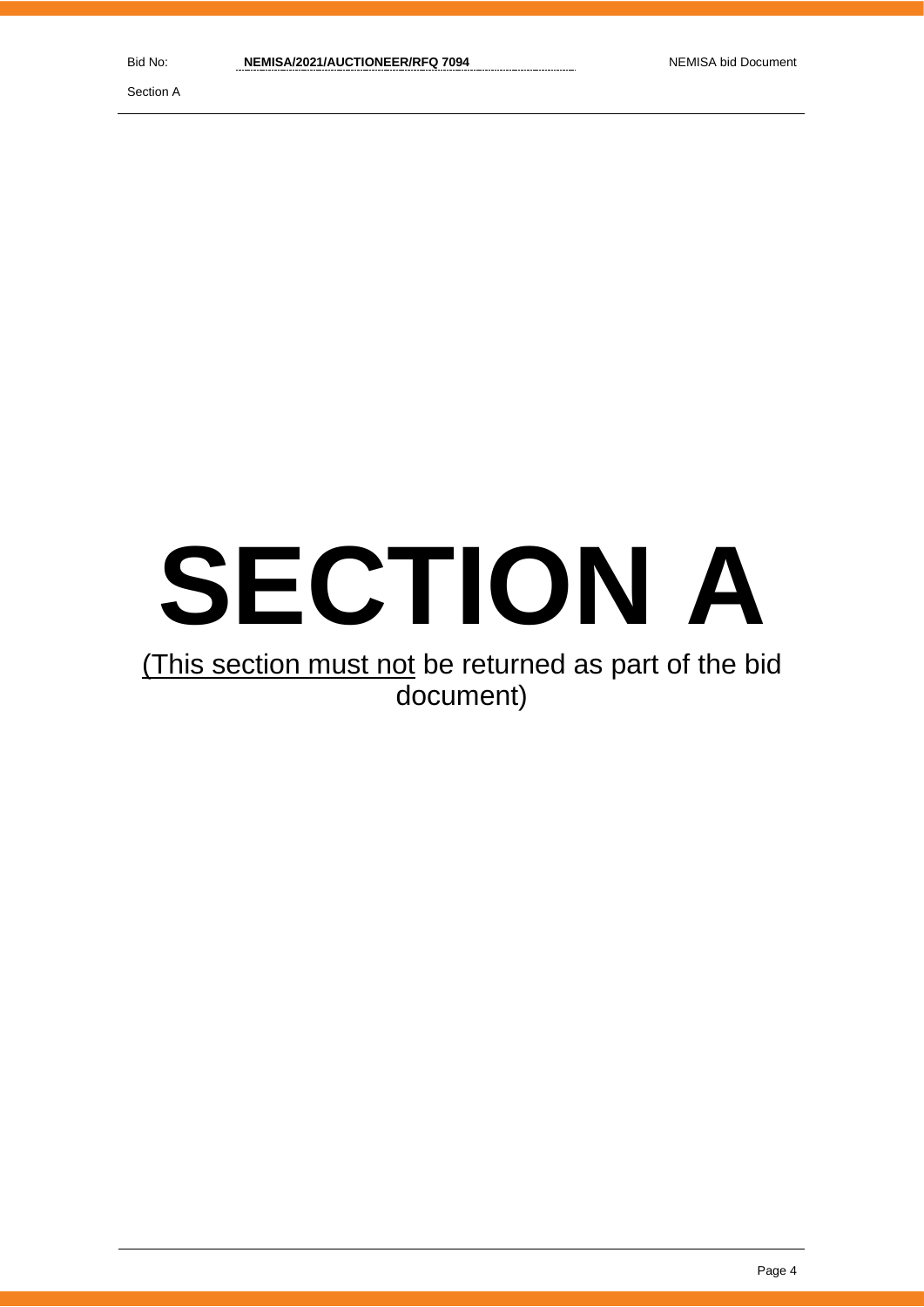Section A

# **SECTION A**

# (This section must not be returned as part of the bid document)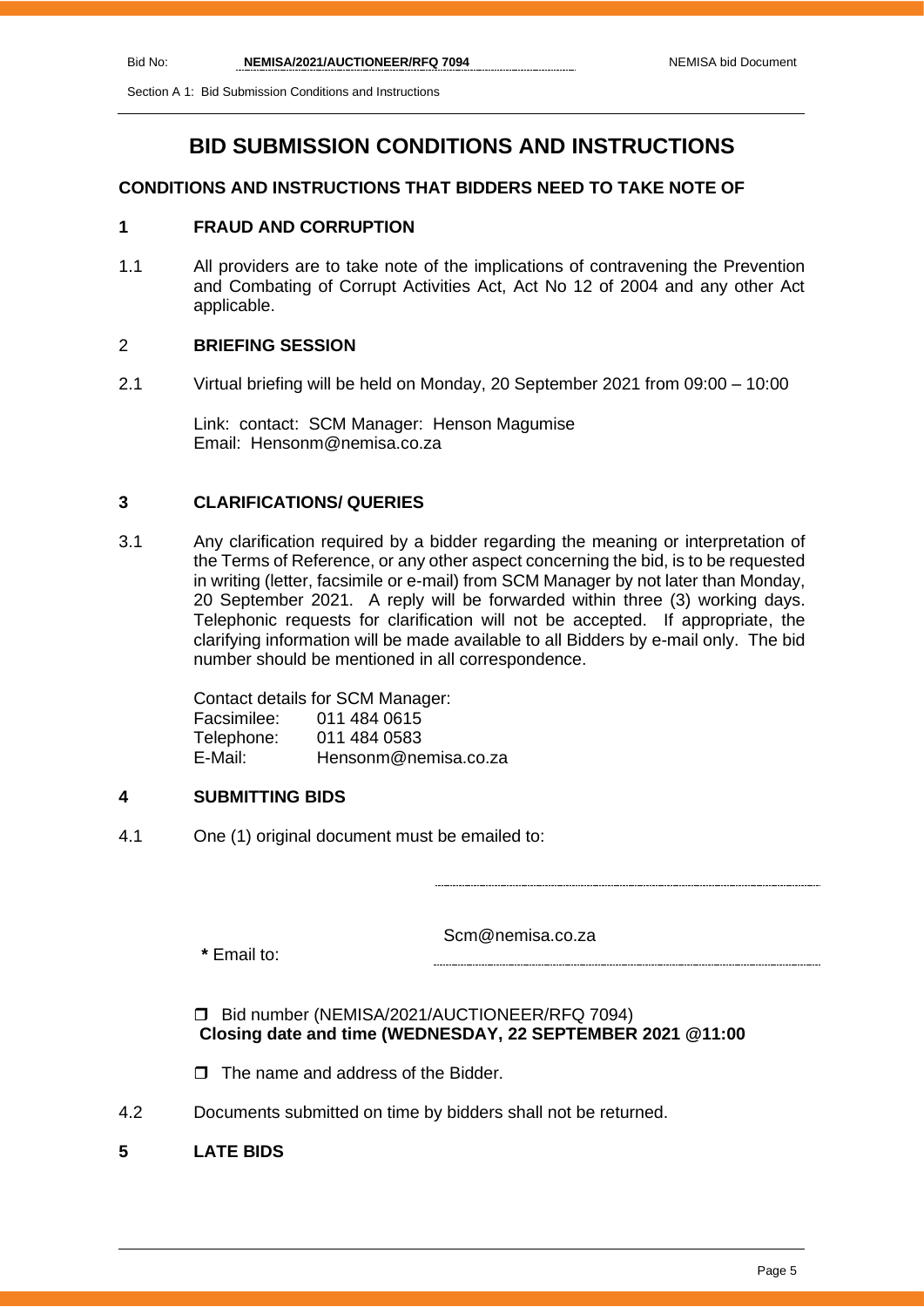Section A 1: Bid Submission Conditions and Instructions

## **BID SUBMISSION CONDITIONS AND INSTRUCTIONS**

## **CONDITIONS AND INSTRUCTIONS THAT BIDDERS NEED TO TAKE NOTE OF**

## **1 FRAUD AND CORRUPTION**

1.1 All providers are to take note of the implications of contravening the Prevention and Combating of Corrupt Activities Act, Act No 12 of 2004 and any other Act applicable.

## 2 **BRIEFING SESSION**

2.1 Virtual briefing will be held on Monday, 20 September 2021 from 09:00 – 10:00

Link: contact: SCM Manager: Henson Magumise Email: Hensonm@nemisa.co.za

## **3 CLARIFICATIONS/ QUERIES**

3.1 Any clarification required by a bidder regarding the meaning or interpretation of the Terms of Reference, or any other aspect concerning the bid, is to be requested in writing (letter, facsimile or e-mail) from SCM Manager by not later than Monday, 20 September 2021. A reply will be forwarded within three (3) working days. Telephonic requests for clarification will not be accepted. If appropriate, the clarifying information will be made available to all Bidders by e-mail only. The bid number should be mentioned in all correspondence.

> Contact details for SCM Manager: Facsimilee: 011 484 0615 Telephone: 011 484 0583<br>E-Mail: Hensonm@ne Hensonm@nemisa.co.za

## **4 SUBMITTING BIDS**

4.1 One (1) original document must be emailed to:

**\*** Email to:

Scm@nemisa.co.za

## Bid number (NEMISA/2021/AUCTIONEER/RFQ 7094)  **Closing date and time (WEDNESDAY, 22 SEPTEMBER 2021 @11:00**

- $\Box$  The name and address of the Bidder.
- 4.2 Documents submitted on time by bidders shall not be returned.

## **5 LATE BIDS**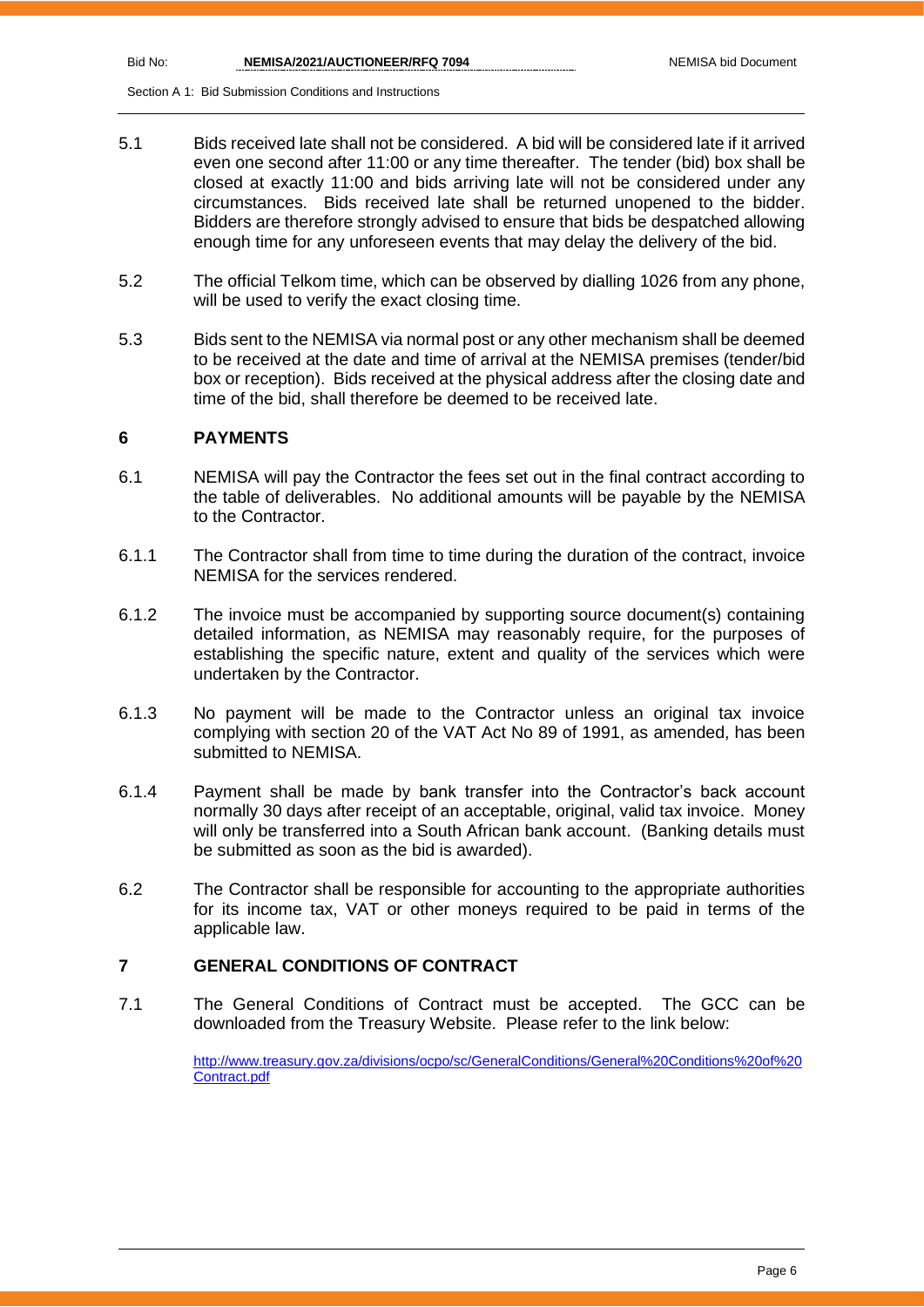Section A 1: Bid Submission Conditions and Instructions

- 5.1 Bids received late shall not be considered. A bid will be considered late if it arrived even one second after 11:00 or any time thereafter. The tender (bid) box shall be closed at exactly 11:00 and bids arriving late will not be considered under any circumstances. Bids received late shall be returned unopened to the bidder. Bidders are therefore strongly advised to ensure that bids be despatched allowing enough time for any unforeseen events that may delay the delivery of the bid.
- 5.2 The official Telkom time, which can be observed by dialling 1026 from any phone, will be used to verify the exact closing time.
- 5.3 Bids sent to the NEMISA via normal post or any other mechanism shall be deemed to be received at the date and time of arrival at the NEMISA premises (tender/bid box or reception). Bids received at the physical address after the closing date and time of the bid, shall therefore be deemed to be received late.

## **6 PAYMENTS**

- 6.1 NEMISA will pay the Contractor the fees set out in the final contract according to the table of deliverables. No additional amounts will be payable by the NEMISA to the Contractor.
- 6.1.1 The Contractor shall from time to time during the duration of the contract, invoice NEMISA for the services rendered.
- 6.1.2 The invoice must be accompanied by supporting source document(s) containing detailed information, as NEMISA may reasonably require, for the purposes of establishing the specific nature, extent and quality of the services which were undertaken by the Contractor.
- 6.1.3 No payment will be made to the Contractor unless an original tax invoice complying with section 20 of the VAT Act No 89 of 1991, as amended, has been submitted to NEMISA.
- 6.1.4 Payment shall be made by bank transfer into the Contractor's back account normally 30 days after receipt of an acceptable, original, valid tax invoice. Money will only be transferred into a South African bank account. (Banking details must be submitted as soon as the bid is awarded).
- 6.2 The Contractor shall be responsible for accounting to the appropriate authorities for its income tax, VAT or other moneys required to be paid in terms of the applicable law.

## **7 GENERAL CONDITIONS OF CONTRACT**

7.1 The General Conditions of Contract must be accepted. The GCC can be downloaded from the Treasury Website. Please refer to the link below:

> [http://www.treasury.gov.za/divisions/ocpo/sc/GeneralConditions/General%20Conditions%20of%20](http://www.treasury.gov.za/divisions/ocpo/sc/GeneralConditions/General%20Conditions%20of%20Contract.pdf) [Contract.pdf](http://www.treasury.gov.za/divisions/ocpo/sc/GeneralConditions/General%20Conditions%20of%20Contract.pdf)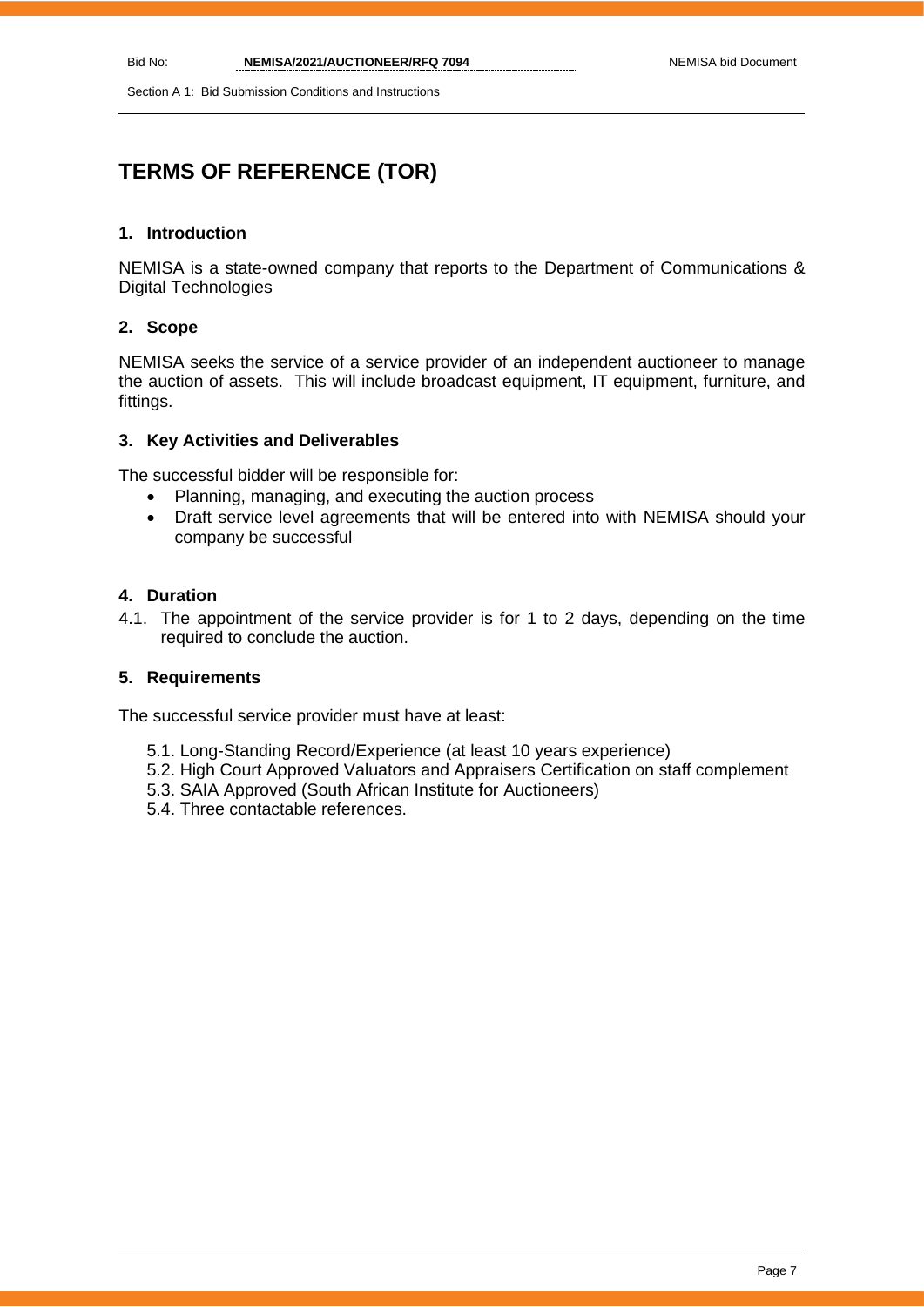Section A 1: Bid Submission Conditions and Instructions

# **TERMS OF REFERENCE (TOR)**

## **1. Introduction**

NEMISA is a state-owned company that reports to the Department of Communications & Digital Technologies

## **2. Scope**

NEMISA seeks the service of a service provider of an independent auctioneer to manage the auction of assets. This will include broadcast equipment, IT equipment, furniture, and fittings.

## **3. Key Activities and Deliverables**

The successful bidder will be responsible for:

- Planning, managing, and executing the auction process
- Draft service level agreements that will be entered into with NEMISA should your company be successful

## **4. Duration**

4.1. The appointment of the service provider is for 1 to 2 days, depending on the time required to conclude the auction.

## **5. Requirements**

The successful service provider must have at least:

- 5.1. Long-Standing Record/Experience (at least 10 years experience)
- 5.2. High Court Approved Valuators and Appraisers Certification on staff complement
- 5.3. SAIA Approved (South African Institute for Auctioneers)
- 5.4. Three contactable references.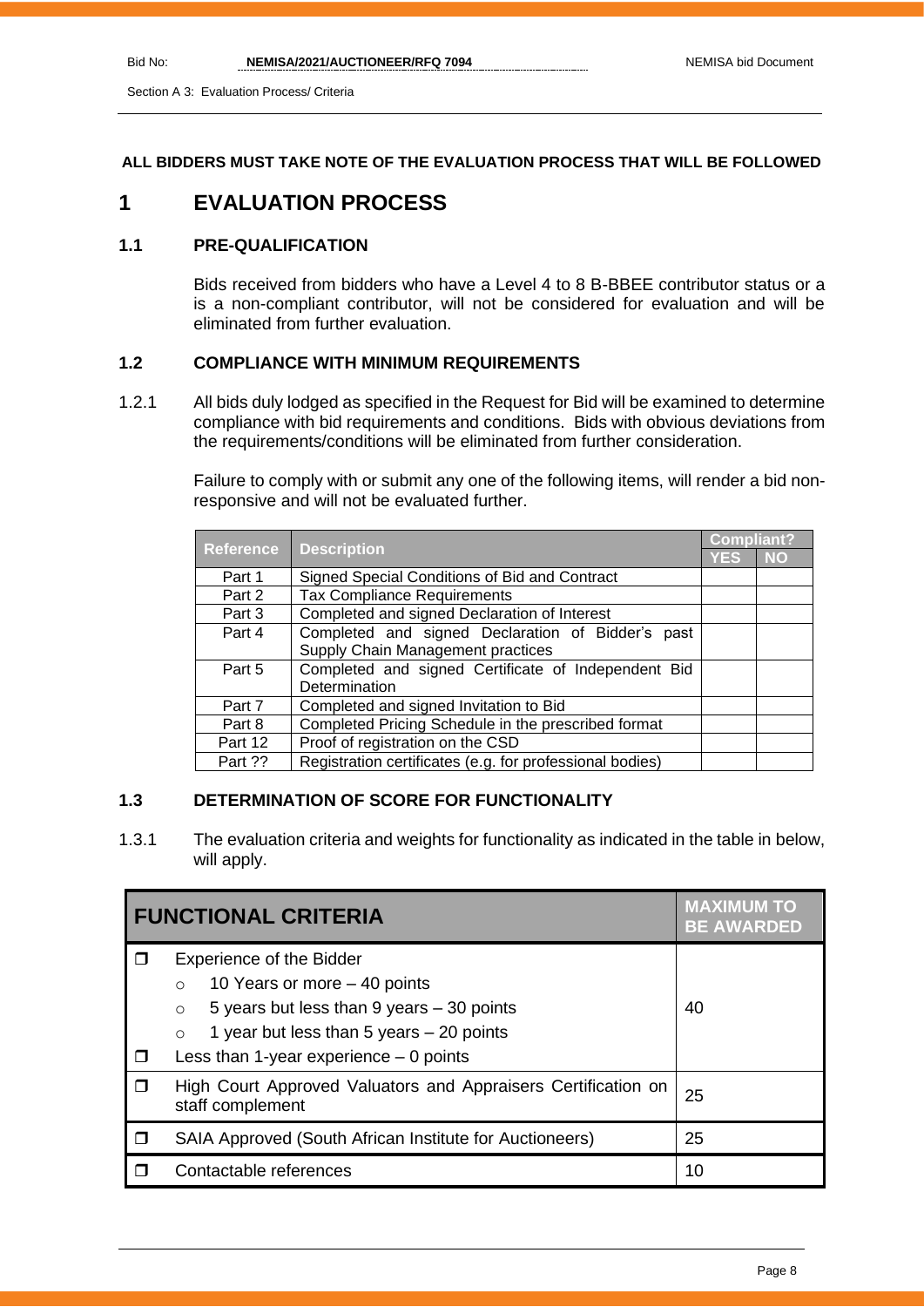## **ALL BIDDERS MUST TAKE NOTE OF THE EVALUATION PROCESS THAT WILL BE FOLLOWED**

## **1 EVALUATION PROCESS**

## **1.1 PRE-QUALIFICATION**

Bids received from bidders who have a Level 4 to 8 B-BBEE contributor status or a is a non-compliant contributor, will not be considered for evaluation and will be eliminated from further evaluation.

## **1.2 COMPLIANCE WITH MINIMUM REQUIREMENTS**

1.2.1 All bids duly lodged as specified in the Request for Bid will be examined to determine compliance with bid requirements and conditions. Bids with obvious deviations from the requirements/conditions will be eliminated from further consideration.

> Failure to comply with or submit any one of the following items, will render a bid nonresponsive and will not be evaluated further.

|                  |                                                          |            | <b>Compliant?</b> |  |
|------------------|----------------------------------------------------------|------------|-------------------|--|
| <b>Reference</b> | <b>Description</b>                                       | <b>YES</b> | <b>NO</b>         |  |
| Part 1           | Signed Special Conditions of Bid and Contract            |            |                   |  |
| Part 2           | <b>Tax Compliance Requirements</b>                       |            |                   |  |
| Part 3           | Completed and signed Declaration of Interest             |            |                   |  |
| Part 4           | Completed and signed Declaration of Bidder's past        |            |                   |  |
|                  | Supply Chain Management practices                        |            |                   |  |
| Part 5           | Completed and signed Certificate of Independent Bid      |            |                   |  |
|                  | Determination                                            |            |                   |  |
| Part 7           | Completed and signed Invitation to Bid                   |            |                   |  |
| Part 8           | Completed Pricing Schedule in the prescribed format      |            |                   |  |
| Part 12          | Proof of registration on the CSD                         |            |                   |  |
| Part ??          | Registration certificates (e.g. for professional bodies) |            |                   |  |

## **1.3 DETERMINATION OF SCORE FOR FUNCTIONALITY**

1.3.1 The evaluation criteria and weights for functionality as indicated in the table in below, will apply.

| <b>FUNCTIONAL CRITERIA</b> |                                                                                                                                                                                                                                         | <b>MAXIMUM TO</b><br><b>BE AWARDED</b> |
|----------------------------|-----------------------------------------------------------------------------------------------------------------------------------------------------------------------------------------------------------------------------------------|----------------------------------------|
| П                          | <b>Experience of the Bidder</b><br>10 Years or more $-$ 40 points<br>$\circ$<br>5 years but less than 9 years - 30 points<br>$\circ$<br>1 year but less than 5 years $-20$ points<br>$\circ$<br>Less than 1-year experience $-0$ points | 40                                     |
| ⊓                          | High Court Approved Valuators and Appraisers Certification on<br>staff complement                                                                                                                                                       | 25                                     |
|                            | SAIA Approved (South African Institute for Auctioneers)                                                                                                                                                                                 | 25                                     |
|                            | Contactable references                                                                                                                                                                                                                  | 10                                     |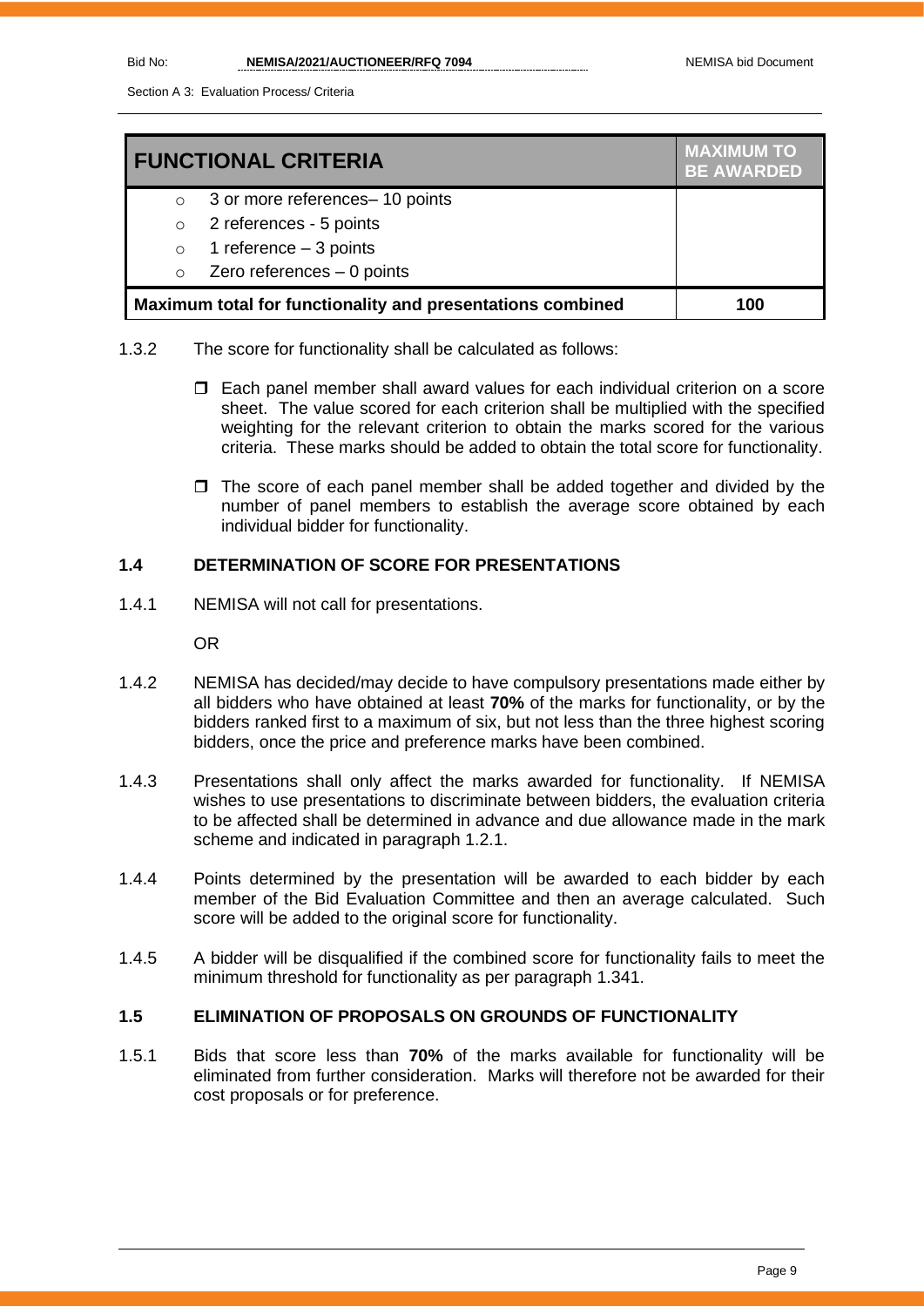Section A 3: Evaluation Process/ Criteria

| <b>FUNCTIONAL CRITERIA</b>                                 |                                 | <b>MAXIMUM TO</b><br><b>BE AWARDED</b> |
|------------------------------------------------------------|---------------------------------|----------------------------------------|
| $\circ$                                                    | 3 or more references- 10 points |                                        |
| $\circ$                                                    | 2 references - 5 points         |                                        |
| $\circ$                                                    | 1 reference $-3$ points         |                                        |
| $\circ$                                                    | Zero references $-0$ points     |                                        |
| Maximum total for functionality and presentations combined |                                 | 100                                    |

- 1.3.2 The score for functionality shall be calculated as follows:
	- Each panel member shall award values for each individual criterion on a score sheet. The value scored for each criterion shall be multiplied with the specified weighting for the relevant criterion to obtain the marks scored for the various criteria. These marks should be added to obtain the total score for functionality.
	- $\Box$  The score of each panel member shall be added together and divided by the number of panel members to establish the average score obtained by each individual bidder for functionality.

## **1.4 DETERMINATION OF SCORE FOR PRESENTATIONS**

1.4.1 NEMISA will not call for presentations.

OR

- 1.4.2 NEMISA has decided/may decide to have compulsory presentations made either by all bidders who have obtained at least **70%** of the marks for functionality, or by the bidders ranked first to a maximum of six, but not less than the three highest scoring bidders, once the price and preference marks have been combined.
- 1.4.3 Presentations shall only affect the marks awarded for functionality. If NEMISA wishes to use presentations to discriminate between bidders, the evaluation criteria to be affected shall be determined in advance and due allowance made in the mark scheme and indicated in paragraph 1.2.1.
- 1.4.4 Points determined by the presentation will be awarded to each bidder by each member of the Bid Evaluation Committee and then an average calculated. Such score will be added to the original score for functionality.
- 1.4.5 A bidder will be disqualified if the combined score for functionality fails to meet the minimum threshold for functionality as per paragraph 1.341.

## **1.5 ELIMINATION OF PROPOSALS ON GROUNDS OF FUNCTIONALITY**

1.5.1 Bids that score less than **70%** of the marks available for functionality will be eliminated from further consideration. Marks will therefore not be awarded for their cost proposals or for preference.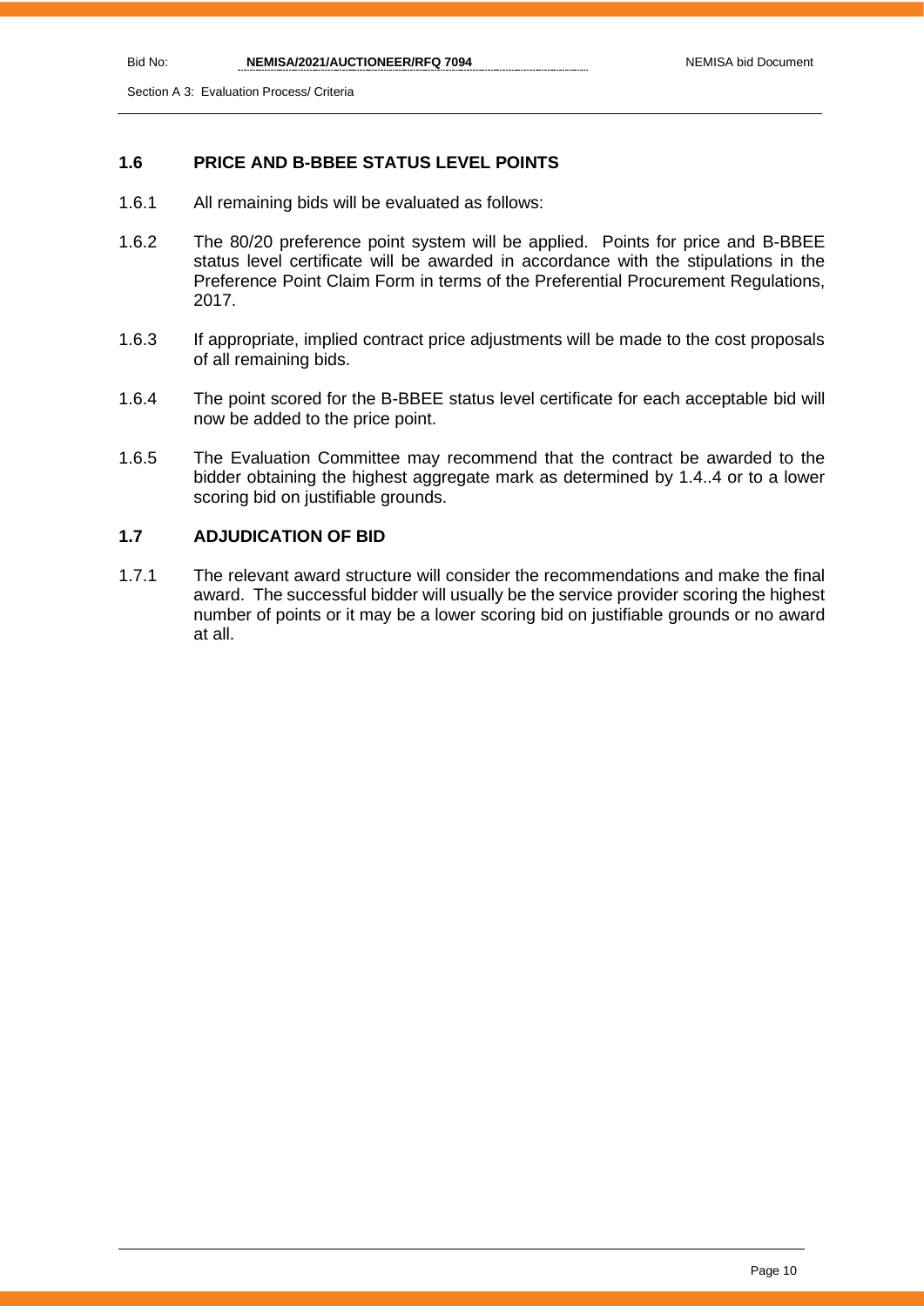Section A 3: Evaluation Process/ Criteria

## **1.6 PRICE AND B-BBEE STATUS LEVEL POINTS**

- 1.6.1 All remaining bids will be evaluated as follows:
- 1.6.2 The 80/20 preference point system will be applied. Points for price and B-BBEE status level certificate will be awarded in accordance with the stipulations in the Preference Point Claim Form in terms of the Preferential Procurement Regulations, 2017.
- 1.6.3 If appropriate, implied contract price adjustments will be made to the cost proposals of all remaining bids.
- 1.6.4 The point scored for the B-BBEE status level certificate for each acceptable bid will now be added to the price point.
- 1.6.5 The Evaluation Committee may recommend that the contract be awarded to the bidder obtaining the highest aggregate mark as determined by 1.4..4 or to a lower scoring bid on justifiable grounds.

## **1.7 ADJUDICATION OF BID**

1.7.1 The relevant award structure will consider the recommendations and make the final award. The successful bidder will usually be the service provider scoring the highest number of points or it may be a lower scoring bid on justifiable grounds or no award at all.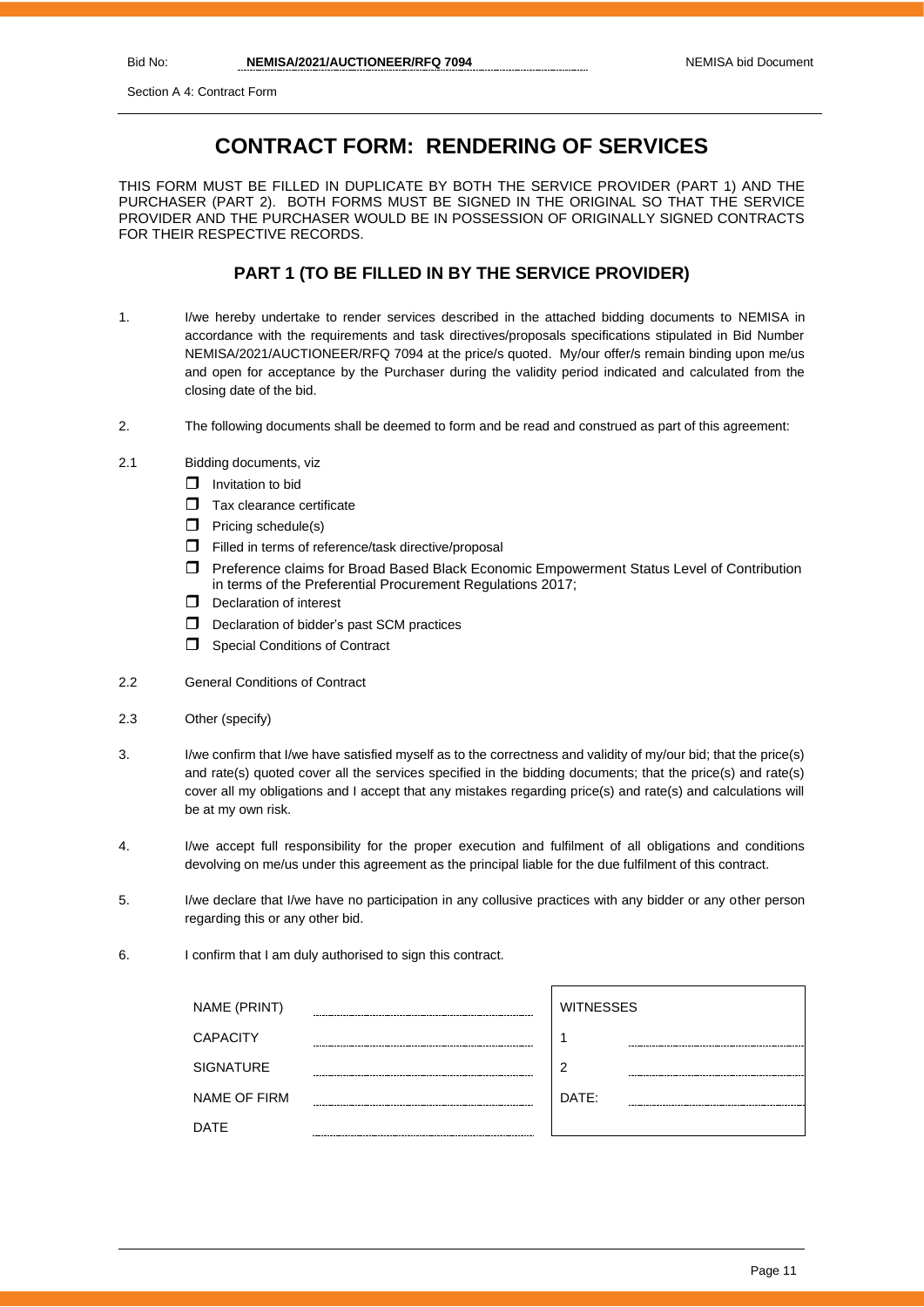Section A 4: Contract Form

## **CONTRACT FORM: RENDERING OF SERVICES**

THIS FORM MUST BE FILLED IN DUPLICATE BY BOTH THE SERVICE PROVIDER (PART 1) AND THE PURCHASER (PART 2). BOTH FORMS MUST BE SIGNED IN THE ORIGINAL SO THAT THE SERVICE PROVIDER AND THE PURCHASER WOULD BE IN POSSESSION OF ORIGINALLY SIGNED CONTRACTS FOR THEIR RESPECTIVE RECORDS.

## **PART 1 (TO BE FILLED IN BY THE SERVICE PROVIDER)**

- 1. I/we hereby undertake to render services described in the attached bidding documents to NEMISA in accordance with the requirements and task directives/proposals specifications stipulated in Bid Number NEMISA/2021/AUCTIONEER/RFQ 7094 at the price/s quoted. My/our offer/s remain binding upon me/us and open for acceptance by the Purchaser during the validity period indicated and calculated from the closing date of the bid.
- 2. The following documents shall be deemed to form and be read and construed as part of this agreement:
- 2.1 Bidding documents, viz
	- $\Box$  Invitation to bid
	- $\Box$  Tax clearance certificate
	- $\Box$  Pricing schedule(s)
	- Filled in terms of reference/task directive/proposal
	- Preference claims for Broad Based Black Economic Empowerment Status Level of Contribution in terms of the Preferential Procurement Regulations 2017;
	- D Declaration of interest
	- $\Box$  Declaration of bidder's past SCM practices
	- **Special Conditions of Contract**
- 2.2 General Conditions of Contract
- 2.3 Other (specify)
- 3. I/we confirm that I/we have satisfied myself as to the correctness and validity of my/our bid; that the price(s) and rate(s) quoted cover all the services specified in the bidding documents; that the price(s) and rate(s) cover all my obligations and I accept that any mistakes regarding price(s) and rate(s) and calculations will be at my own risk.
- 4. I/we accept full responsibility for the proper execution and fulfilment of all obligations and conditions devolving on me/us under this agreement as the principal liable for the due fulfilment of this contract.
- 5. I/we declare that I/we have no participation in any collusive practices with any bidder or any other person regarding this or any other bid.
- 6. I confirm that I am duly authorised to sign this contract.

| NAME (PRINT)        |        | <b>WITNESSES</b> |
|---------------------|--------|------------------|
| <b>CAPACITY</b>     |        |                  |
| <b>SIGNATURE</b>    | ------ | 2                |
| <b>NAME OF FIRM</b> |        | DATE:            |
| DATE                |        |                  |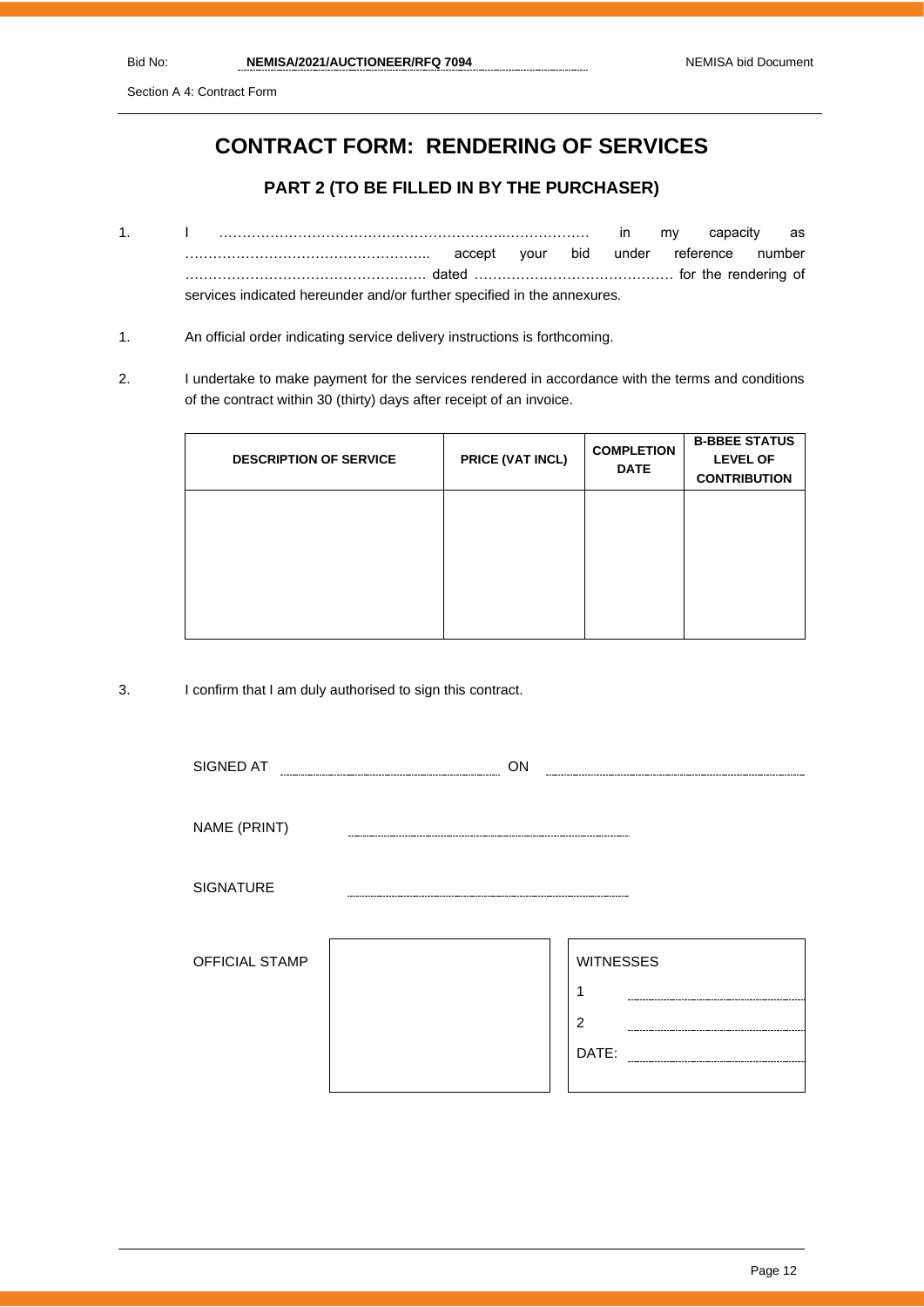Section A 4: Contract Form

# **CONTRACT FORM: RENDERING OF SERVICES**

## **PART 2 (TO BE FILLED IN BY THE PURCHASER)**

- 1. I ……………………………………………………..……………… in my capacity as …………………………………………….. accept your bid under reference number ……………………………………………. dated ……………………………………. for the rendering of services indicated hereunder and/or further specified in the annexures.
- 1. An official order indicating service delivery instructions is forthcoming.
- 2. I undertake to make payment for the services rendered in accordance with the terms and conditions of the contract within 30 (thirty) days after receipt of an invoice.

| <b>DESCRIPTION OF SERVICE</b> | PRICE (VAT INCL) | <b>COMPLETION</b><br><b>DATE</b> | <b>B-BBEE STATUS</b><br><b>LEVEL OF</b><br><b>CONTRIBUTION</b> |
|-------------------------------|------------------|----------------------------------|----------------------------------------------------------------|
|                               |                  |                                  |                                                                |
|                               |                  |                                  |                                                                |
|                               |                  |                                  |                                                                |

3. I confirm that I am duly authorised to sign this contract.

| SIGNED AT        | ON |                  |
|------------------|----|------------------|
|                  |    |                  |
| NAME (PRINT)     |    |                  |
|                  |    |                  |
| <b>SIGNATURE</b> |    |                  |
|                  |    |                  |
| OFFICIAL STAMP   |    | <b>WITNESSES</b> |
|                  |    | ٠                |
|                  |    | $\overline{2}$   |
|                  |    | DATE:            |
|                  |    |                  |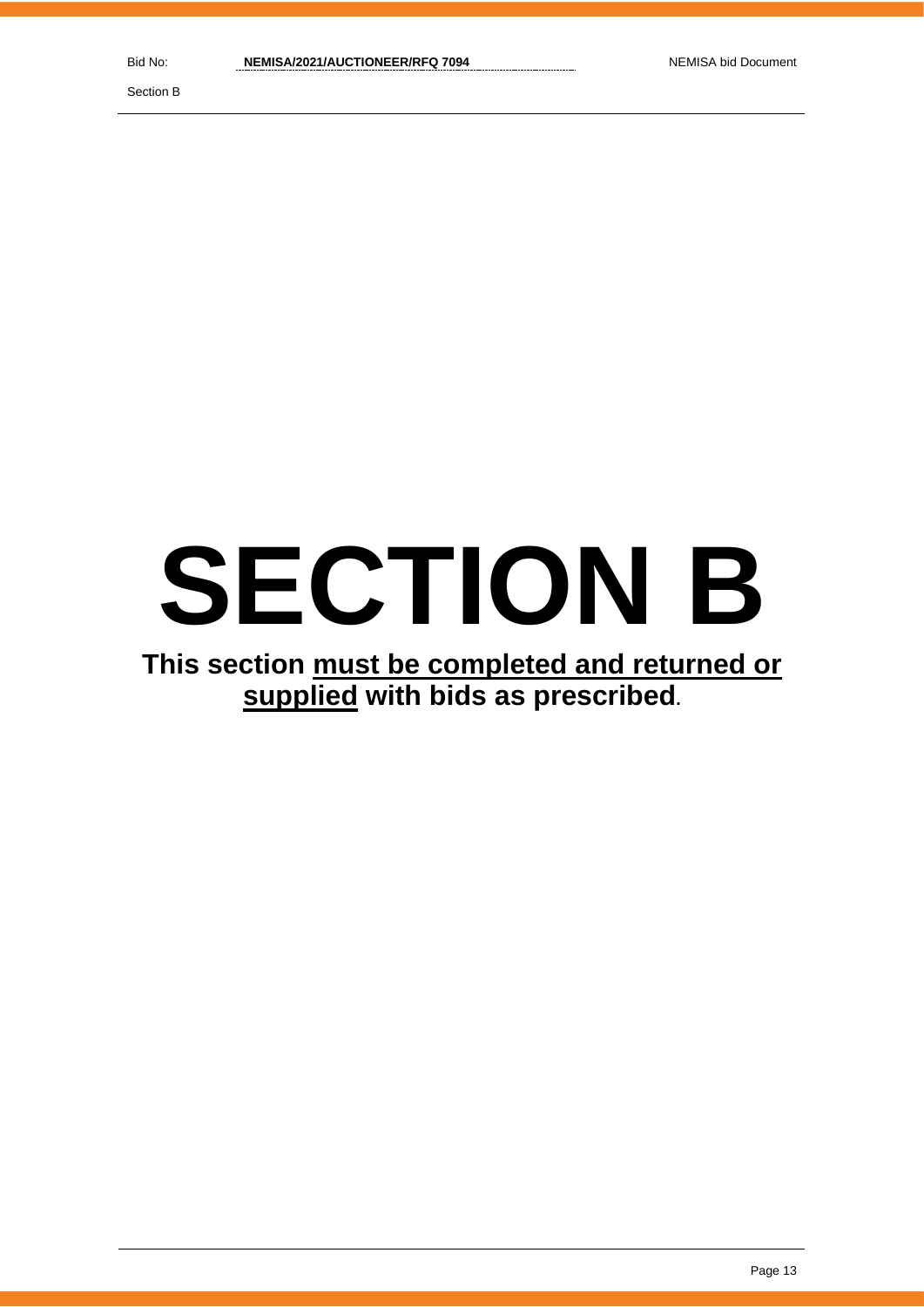Section B

# **SECTION B**

# **This section must be completed and returned or supplied with bids as prescribed.**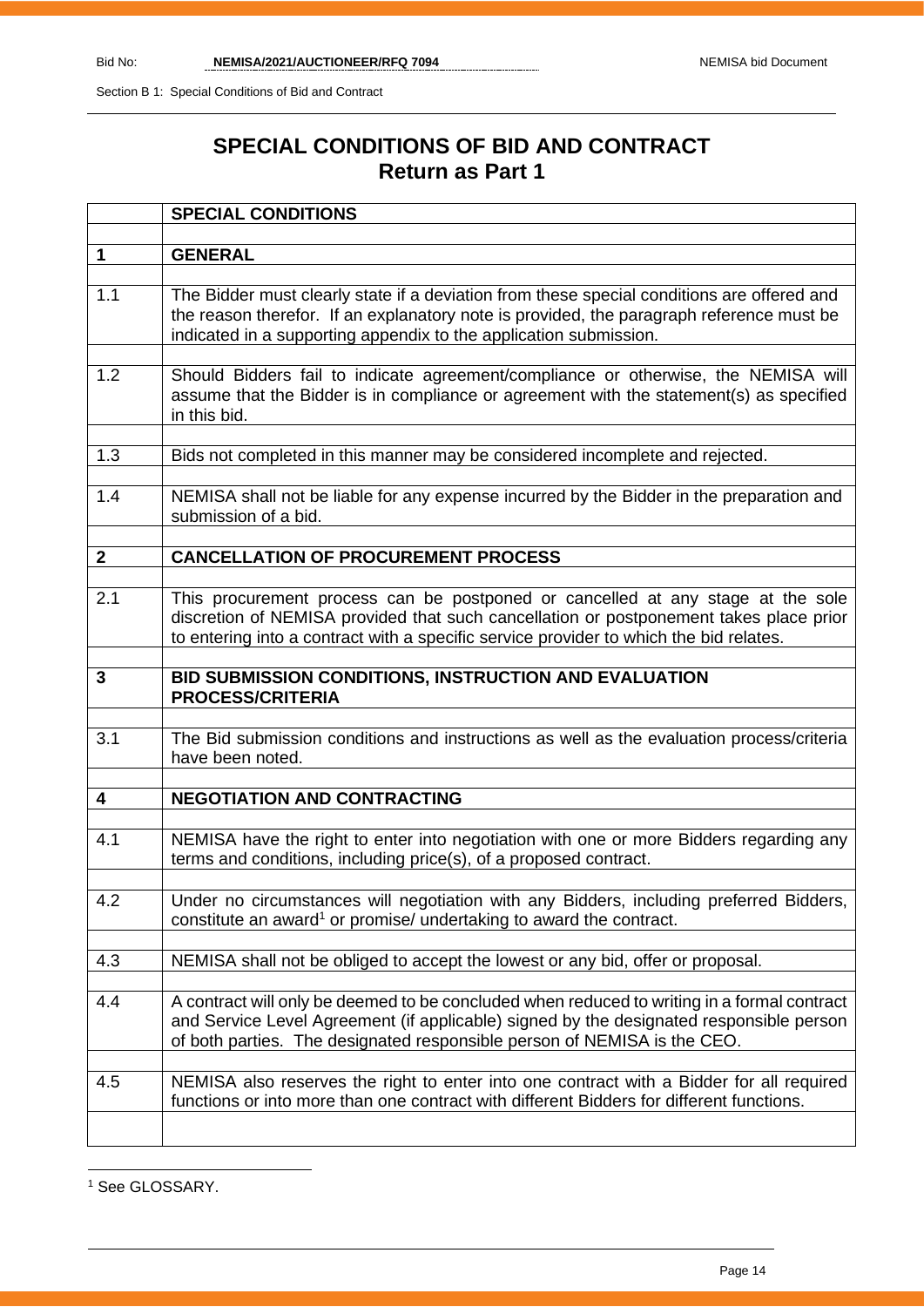# **SPECIAL CONDITIONS OF BID AND CONTRACT Return as Part 1**

|              | <b>SPECIAL CONDITIONS</b>                                                                                                                                                                                                                                           |
|--------------|---------------------------------------------------------------------------------------------------------------------------------------------------------------------------------------------------------------------------------------------------------------------|
|              |                                                                                                                                                                                                                                                                     |
| $\mathbf 1$  | <b>GENERAL</b>                                                                                                                                                                                                                                                      |
| 1.1          | The Bidder must clearly state if a deviation from these special conditions are offered and<br>the reason therefor. If an explanatory note is provided, the paragraph reference must be<br>indicated in a supporting appendix to the application submission.         |
| 1.2          | Should Bidders fail to indicate agreement/compliance or otherwise, the NEMISA will<br>assume that the Bidder is in compliance or agreement with the statement(s) as specified<br>in this bid.                                                                       |
| 1.3          | Bids not completed in this manner may be considered incomplete and rejected.                                                                                                                                                                                        |
| 1.4          | NEMISA shall not be liable for any expense incurred by the Bidder in the preparation and<br>submission of a bid.                                                                                                                                                    |
| $\mathbf{2}$ | <b>CANCELLATION OF PROCUREMENT PROCESS</b>                                                                                                                                                                                                                          |
|              |                                                                                                                                                                                                                                                                     |
| 2.1          | This procurement process can be postponed or cancelled at any stage at the sole<br>discretion of NEMISA provided that such cancellation or postponement takes place prior<br>to entering into a contract with a specific service provider to which the bid relates. |
| 3            | BID SUBMISSION CONDITIONS, INSTRUCTION AND EVALUATION<br><b>PROCESS/CRITERIA</b>                                                                                                                                                                                    |
| 3.1          | The Bid submission conditions and instructions as well as the evaluation process/criteria<br>have been noted.                                                                                                                                                       |
| 4            | <b>NEGOTIATION AND CONTRACTING</b>                                                                                                                                                                                                                                  |
| 4.1          | NEMISA have the right to enter into negotiation with one or more Bidders regarding any<br>terms and conditions, including price(s), of a proposed contract.                                                                                                         |
| 4.2          | Under no circumstances will negotiation with any Bidders, including preferred Bidders,<br>constitute an award <sup>1</sup> or promise/ undertaking to award the contract.                                                                                           |
| 4.3          | NEMISA shall not be obliged to accept the lowest or any bid, offer or proposal.                                                                                                                                                                                     |
| 4.4          | A contract will only be deemed to be concluded when reduced to writing in a formal contract<br>and Service Level Agreement (if applicable) signed by the designated responsible person<br>of both parties. The designated responsible person of NEMISA is the CEO.  |
| 4.5          | NEMISA also reserves the right to enter into one contract with a Bidder for all required<br>functions or into more than one contract with different Bidders for different functions.                                                                                |
|              |                                                                                                                                                                                                                                                                     |

<sup>1</sup> See GLOSSARY.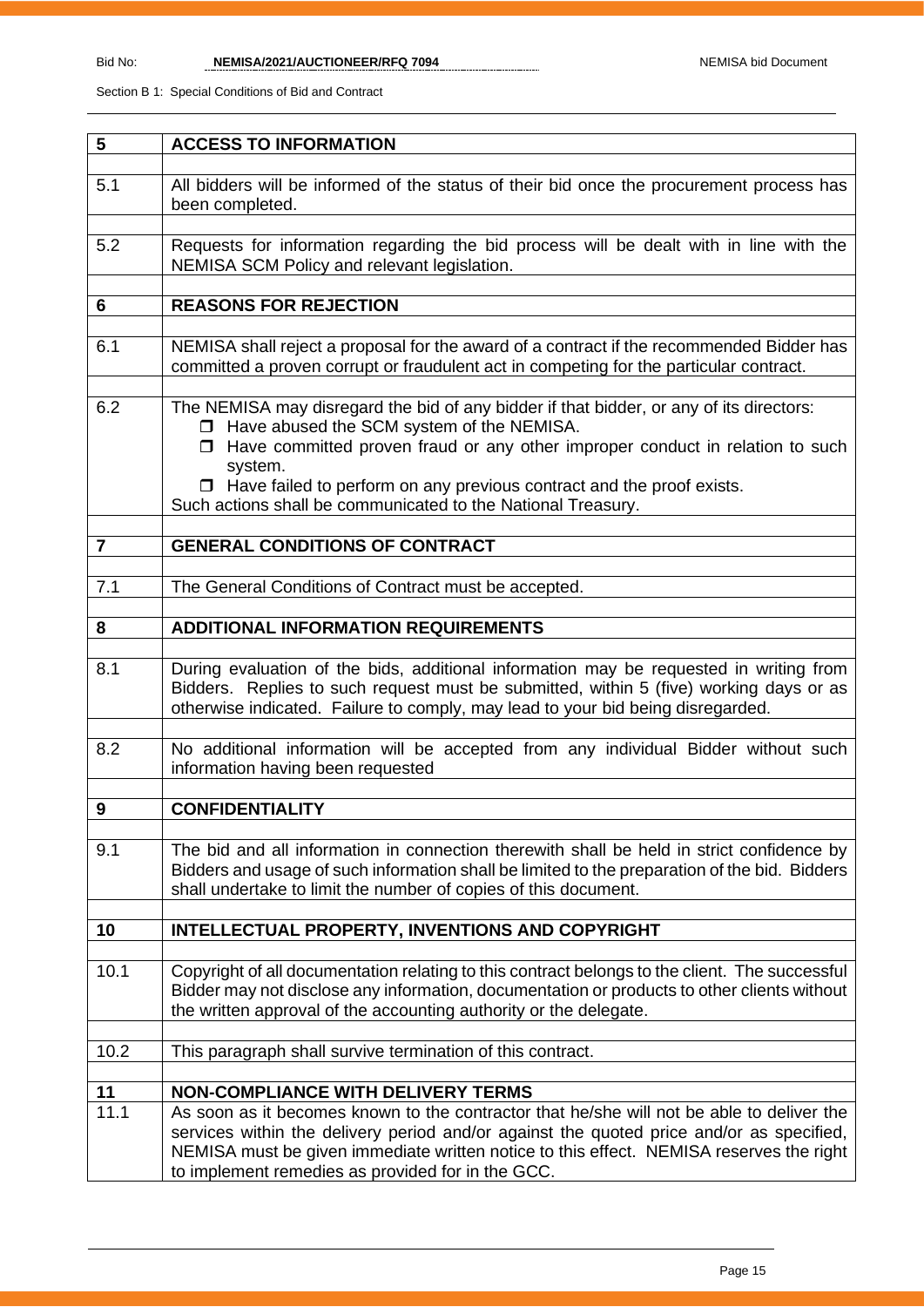| 5              | <b>ACCESS TO INFORMATION</b>                                                                                                                                                                                                                                                                                                                                                              |
|----------------|-------------------------------------------------------------------------------------------------------------------------------------------------------------------------------------------------------------------------------------------------------------------------------------------------------------------------------------------------------------------------------------------|
|                |                                                                                                                                                                                                                                                                                                                                                                                           |
| 5.1            | All bidders will be informed of the status of their bid once the procurement process has<br>been completed.                                                                                                                                                                                                                                                                               |
| 5.2            | Requests for information regarding the bid process will be dealt with in line with the<br>NEMISA SCM Policy and relevant legislation.                                                                                                                                                                                                                                                     |
|                |                                                                                                                                                                                                                                                                                                                                                                                           |
| 6              | <b>REASONS FOR REJECTION</b>                                                                                                                                                                                                                                                                                                                                                              |
| 6.1            | NEMISA shall reject a proposal for the award of a contract if the recommended Bidder has<br>committed a proven corrupt or fraudulent act in competing for the particular contract.                                                                                                                                                                                                        |
| 6.2            | The NEMISA may disregard the bid of any bidder if that bidder, or any of its directors:<br>□ Have abused the SCM system of the NEMISA.<br>$\Box$ Have committed proven fraud or any other improper conduct in relation to such<br>system.<br>$\Box$ Have failed to perform on any previous contract and the proof exists.<br>Such actions shall be communicated to the National Treasury. |
| $\overline{7}$ |                                                                                                                                                                                                                                                                                                                                                                                           |
|                | <b>GENERAL CONDITIONS OF CONTRACT</b>                                                                                                                                                                                                                                                                                                                                                     |
| 7.1            | The General Conditions of Contract must be accepted.                                                                                                                                                                                                                                                                                                                                      |
|                |                                                                                                                                                                                                                                                                                                                                                                                           |
| 8              | <b>ADDITIONAL INFORMATION REQUIREMENTS</b>                                                                                                                                                                                                                                                                                                                                                |
|                |                                                                                                                                                                                                                                                                                                                                                                                           |
| 8.1            | During evaluation of the bids, additional information may be requested in writing from<br>Bidders. Replies to such request must be submitted, within 5 (five) working days or as<br>otherwise indicated. Failure to comply, may lead to your bid being disregarded.                                                                                                                       |
| 8.2            | No additional information will be accepted from any individual Bidder without such<br>information having been requested                                                                                                                                                                                                                                                                   |
|                |                                                                                                                                                                                                                                                                                                                                                                                           |
| 9              | <b>CONFIDENTIALITY</b>                                                                                                                                                                                                                                                                                                                                                                    |
| 9.1            | The bid and all information in connection therewith shall be held in strict confidence by<br>Bidders and usage of such information shall be limited to the preparation of the bid. Bidders<br>shall undertake to limit the number of copies of this document.                                                                                                                             |
| 10             | <b>INTELLECTUAL PROPERTY, INVENTIONS AND COPYRIGHT</b>                                                                                                                                                                                                                                                                                                                                    |
|                |                                                                                                                                                                                                                                                                                                                                                                                           |
| 10.1           | Copyright of all documentation relating to this contract belongs to the client. The successful<br>Bidder may not disclose any information, documentation or products to other clients without<br>the written approval of the accounting authority or the delegate.                                                                                                                        |
| 10.2           | This paragraph shall survive termination of this contract.                                                                                                                                                                                                                                                                                                                                |
|                |                                                                                                                                                                                                                                                                                                                                                                                           |
| 11             | <b>NON-COMPLIANCE WITH DELIVERY TERMS</b>                                                                                                                                                                                                                                                                                                                                                 |
| 11.1           | As soon as it becomes known to the contractor that he/she will not be able to deliver the<br>services within the delivery period and/or against the quoted price and/or as specified,<br>NEMISA must be given immediate written notice to this effect. NEMISA reserves the right<br>to implement remedies as provided for in the GCC.                                                     |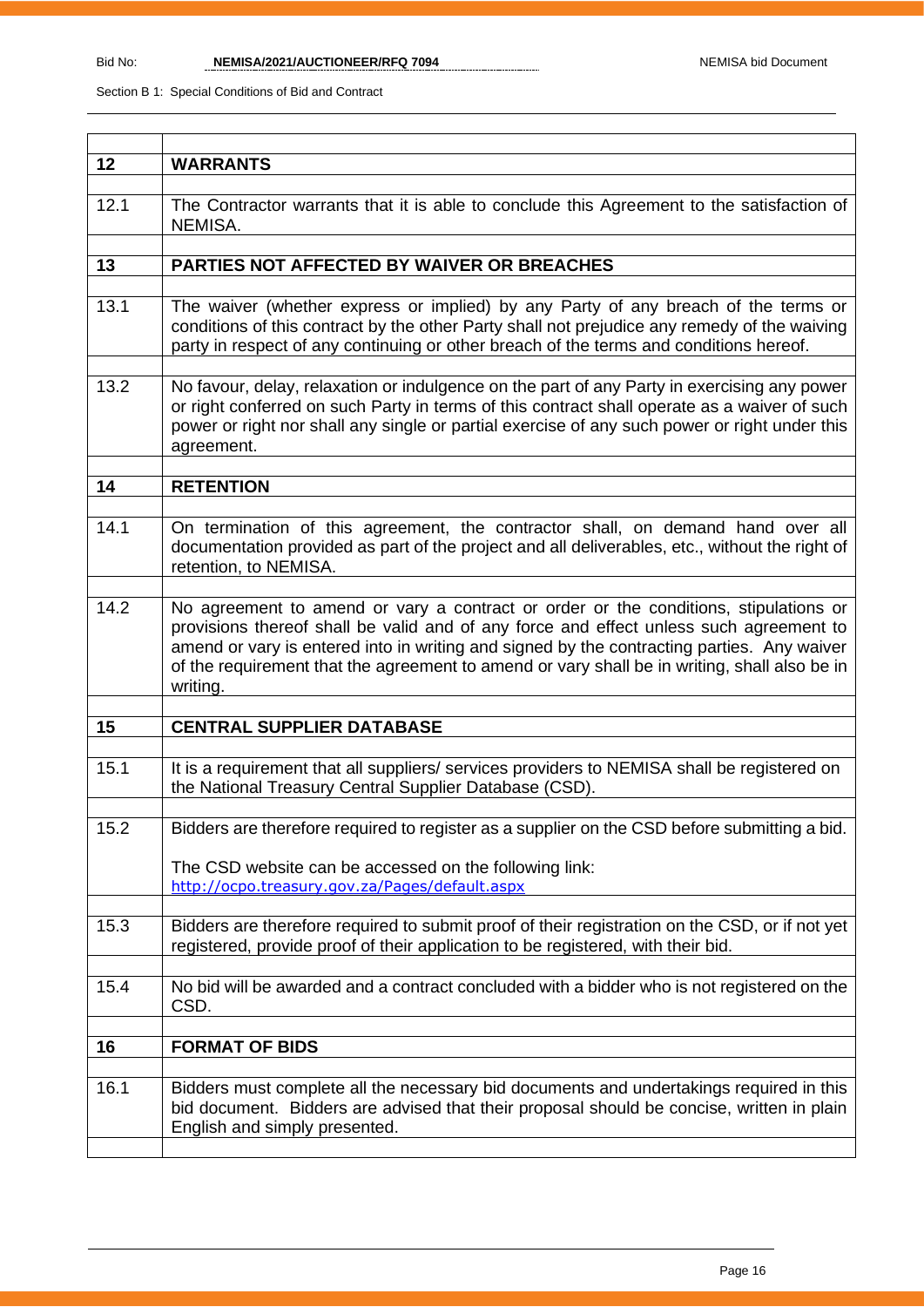| 12   | <b>WARRANTS</b>                                                                                                                                                                                                                                                                                                                                                                          |
|------|------------------------------------------------------------------------------------------------------------------------------------------------------------------------------------------------------------------------------------------------------------------------------------------------------------------------------------------------------------------------------------------|
| 12.1 | The Contractor warrants that it is able to conclude this Agreement to the satisfaction of<br>NEMISA.                                                                                                                                                                                                                                                                                     |
| 13   | PARTIES NOT AFFECTED BY WAIVER OR BREACHES                                                                                                                                                                                                                                                                                                                                               |
|      |                                                                                                                                                                                                                                                                                                                                                                                          |
| 13.1 | The waiver (whether express or implied) by any Party of any breach of the terms or<br>conditions of this contract by the other Party shall not prejudice any remedy of the waiving<br>party in respect of any continuing or other breach of the terms and conditions hereof.                                                                                                             |
| 13.2 | No favour, delay, relaxation or indulgence on the part of any Party in exercising any power<br>or right conferred on such Party in terms of this contract shall operate as a waiver of such<br>power or right nor shall any single or partial exercise of any such power or right under this<br>agreement.                                                                               |
| 14   | <b>RETENTION</b>                                                                                                                                                                                                                                                                                                                                                                         |
|      |                                                                                                                                                                                                                                                                                                                                                                                          |
| 14.1 | On termination of this agreement, the contractor shall, on demand hand over all<br>documentation provided as part of the project and all deliverables, etc., without the right of<br>retention, to NEMISA.                                                                                                                                                                               |
| 14.2 | No agreement to amend or vary a contract or order or the conditions, stipulations or<br>provisions thereof shall be valid and of any force and effect unless such agreement to<br>amend or vary is entered into in writing and signed by the contracting parties. Any waiver<br>of the requirement that the agreement to amend or vary shall be in writing, shall also be in<br>writing. |
|      |                                                                                                                                                                                                                                                                                                                                                                                          |
| 15   | <b>CENTRAL SUPPLIER DATABASE</b>                                                                                                                                                                                                                                                                                                                                                         |
| 15.1 | It is a requirement that all suppliers/ services providers to NEMISA shall be registered on<br>the National Treasury Central Supplier Database (CSD).                                                                                                                                                                                                                                    |
|      |                                                                                                                                                                                                                                                                                                                                                                                          |
| 15.2 | Bidders are therefore required to register as a supplier on the CSD before submitting a bid.                                                                                                                                                                                                                                                                                             |
|      | The CSD website can be accessed on the following link:<br>http://ocpo.treasury.gov.za/Pages/default.aspx                                                                                                                                                                                                                                                                                 |
| 15.3 | Bidders are therefore required to submit proof of their registration on the CSD, or if not yet<br>registered, provide proof of their application to be registered, with their bid.                                                                                                                                                                                                       |
| 15.4 | No bid will be awarded and a contract concluded with a bidder who is not registered on the<br>CSD.                                                                                                                                                                                                                                                                                       |
|      |                                                                                                                                                                                                                                                                                                                                                                                          |
| 16   | <b>FORMAT OF BIDS</b>                                                                                                                                                                                                                                                                                                                                                                    |
| 16.1 | Bidders must complete all the necessary bid documents and undertakings required in this<br>bid document. Bidders are advised that their proposal should be concise, written in plain<br>English and simply presented.                                                                                                                                                                    |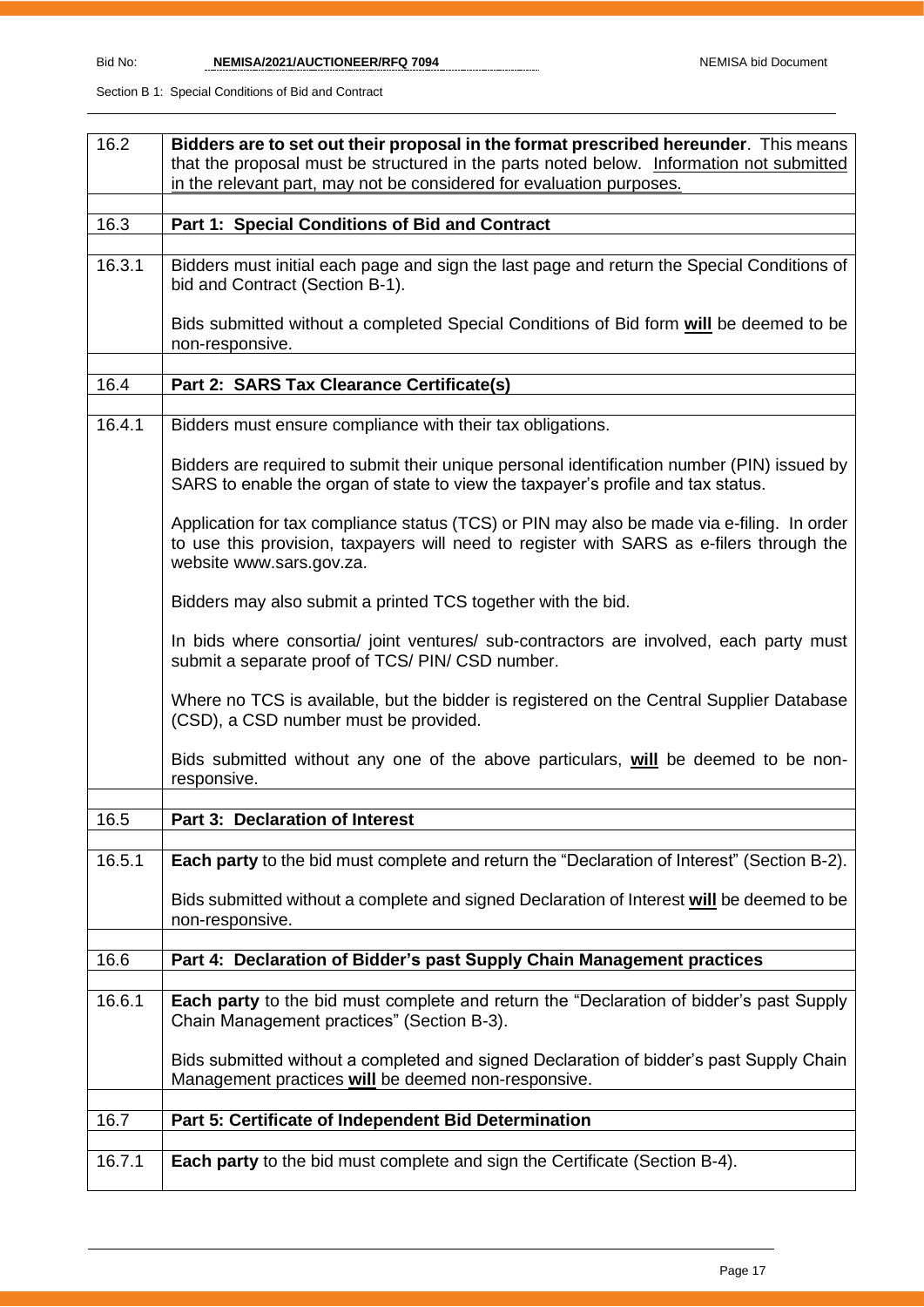| 16.2   | Bidders are to set out their proposal in the format prescribed hereunder. This means                                                                                                                               |
|--------|--------------------------------------------------------------------------------------------------------------------------------------------------------------------------------------------------------------------|
|        | that the proposal must be structured in the parts noted below. Information not submitted                                                                                                                           |
|        | in the relevant part, may not be considered for evaluation purposes.                                                                                                                                               |
| 16.3   | Part 1: Special Conditions of Bid and Contract                                                                                                                                                                     |
|        |                                                                                                                                                                                                                    |
| 16.3.1 | Bidders must initial each page and sign the last page and return the Special Conditions of<br>bid and Contract (Section B-1).                                                                                      |
|        | Bids submitted without a completed Special Conditions of Bid form will be deemed to be<br>non-responsive.                                                                                                          |
|        |                                                                                                                                                                                                                    |
| 16.4   | Part 2: SARS Tax Clearance Certificate(s)                                                                                                                                                                          |
| 16.4.1 | Bidders must ensure compliance with their tax obligations.                                                                                                                                                         |
|        | Bidders are required to submit their unique personal identification number (PIN) issued by<br>SARS to enable the organ of state to view the taxpayer's profile and tax status.                                     |
|        | Application for tax compliance status (TCS) or PIN may also be made via e-filing. In order<br>to use this provision, taxpayers will need to register with SARS as e-filers through the<br>website www.sars.gov.za. |
|        | Bidders may also submit a printed TCS together with the bid.                                                                                                                                                       |
|        | In bids where consortia/ joint ventures/ sub-contractors are involved, each party must<br>submit a separate proof of TCS/ PIN/ CSD number.                                                                         |
|        | Where no TCS is available, but the bidder is registered on the Central Supplier Database<br>(CSD), a CSD number must be provided.                                                                                  |
|        | Bids submitted without any one of the above particulars, will be deemed to be non-<br>responsive.                                                                                                                  |
| 16.5   | <b>Part 3: Declaration of Interest</b>                                                                                                                                                                             |
|        |                                                                                                                                                                                                                    |
| 16.5.1 | Each party to the bid must complete and return the "Declaration of Interest" (Section B-2).                                                                                                                        |
|        | Bids submitted without a complete and signed Declaration of Interest will be deemed to be<br>non-responsive.                                                                                                       |
| 16.6   | Part 4: Declaration of Bidder's past Supply Chain Management practices                                                                                                                                             |
|        |                                                                                                                                                                                                                    |
| 16.6.1 | <b>Each party</b> to the bid must complete and return the "Declaration of bidder's past Supply<br>Chain Management practices" (Section B-3).                                                                       |
|        | Bids submitted without a completed and signed Declaration of bidder's past Supply Chain<br>Management practices will be deemed non-responsive.                                                                     |
|        |                                                                                                                                                                                                                    |
| 16.7   | Part 5: Certificate of Independent Bid Determination                                                                                                                                                               |
| 16.7.1 | <b>Each party</b> to the bid must complete and sign the Certificate (Section B-4).                                                                                                                                 |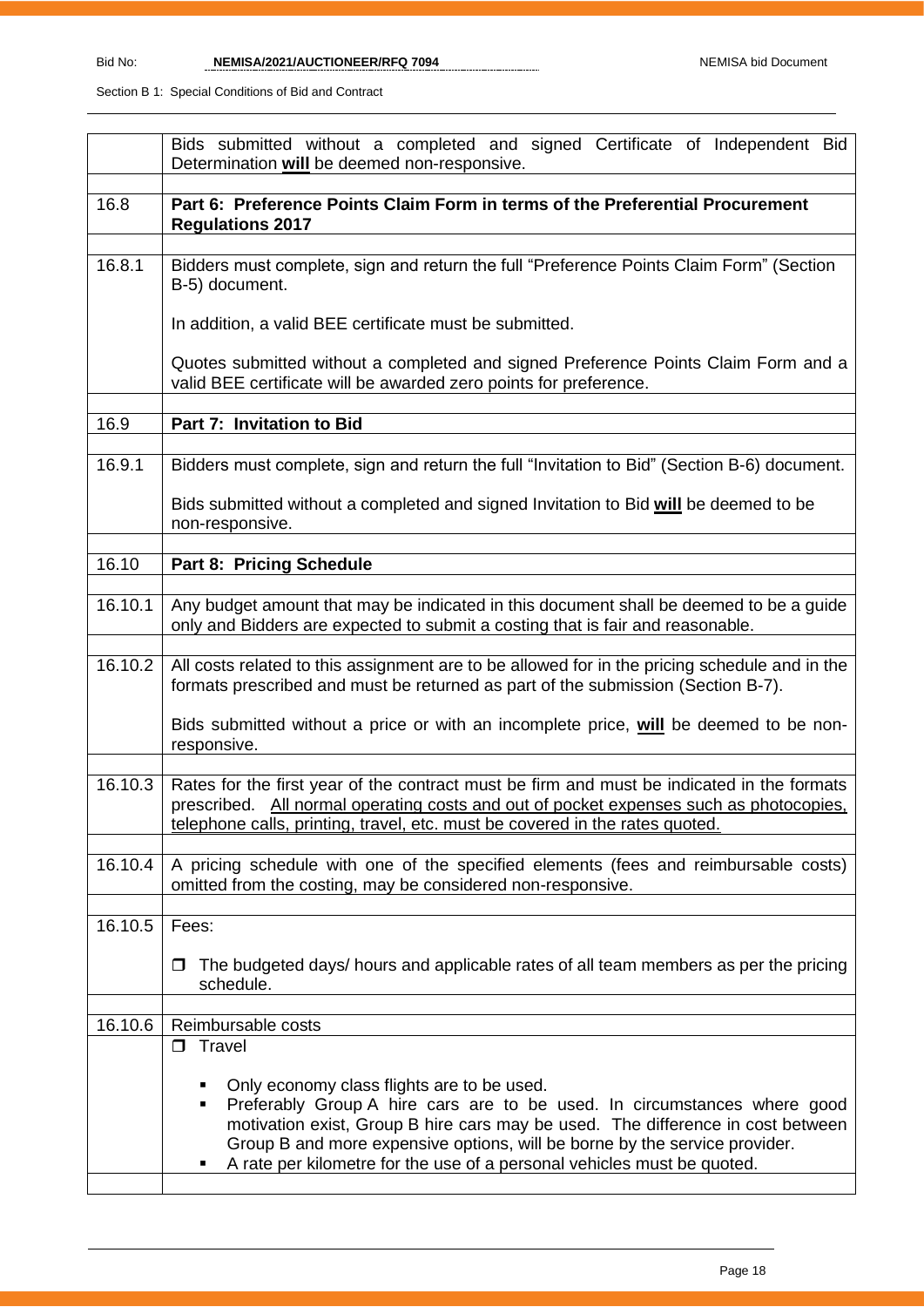|         | Bids submitted without a completed and signed Certificate of Independent Bid<br>Determination will be deemed non-responsive.                                                                                                                                                                                                                                                 |  |  |  |  |
|---------|------------------------------------------------------------------------------------------------------------------------------------------------------------------------------------------------------------------------------------------------------------------------------------------------------------------------------------------------------------------------------|--|--|--|--|
| 16.8    | Part 6: Preference Points Claim Form in terms of the Preferential Procurement<br><b>Regulations 2017</b>                                                                                                                                                                                                                                                                     |  |  |  |  |
| 16.8.1  | Bidders must complete, sign and return the full "Preference Points Claim Form" (Section<br>B-5) document.                                                                                                                                                                                                                                                                    |  |  |  |  |
|         | In addition, a valid BEE certificate must be submitted.                                                                                                                                                                                                                                                                                                                      |  |  |  |  |
|         | Quotes submitted without a completed and signed Preference Points Claim Form and a<br>valid BEE certificate will be awarded zero points for preference.                                                                                                                                                                                                                      |  |  |  |  |
| 16.9    | Part 7: Invitation to Bid                                                                                                                                                                                                                                                                                                                                                    |  |  |  |  |
| 16.9.1  | Bidders must complete, sign and return the full "Invitation to Bid" (Section B-6) document.                                                                                                                                                                                                                                                                                  |  |  |  |  |
|         | Bids submitted without a completed and signed Invitation to Bid will be deemed to be<br>non-responsive.                                                                                                                                                                                                                                                                      |  |  |  |  |
| 16.10   | Part 8: Pricing Schedule                                                                                                                                                                                                                                                                                                                                                     |  |  |  |  |
| 16.10.1 | Any budget amount that may be indicated in this document shall be deemed to be a guide<br>only and Bidders are expected to submit a costing that is fair and reasonable.                                                                                                                                                                                                     |  |  |  |  |
| 16.10.2 | All costs related to this assignment are to be allowed for in the pricing schedule and in the<br>formats prescribed and must be returned as part of the submission (Section B-7).                                                                                                                                                                                            |  |  |  |  |
|         | Bids submitted without a price or with an incomplete price, will be deemed to be non-<br>responsive.                                                                                                                                                                                                                                                                         |  |  |  |  |
| 16.10.3 | Rates for the first year of the contract must be firm and must be indicated in the formats<br>prescribed. All normal operating costs and out of pocket expenses such as photocopies,<br>telephone calls, printing, travel, etc. must be covered in the rates quoted.                                                                                                         |  |  |  |  |
| 16.10.4 | A pricing schedule with one of the specified elements (fees and reimbursable costs)<br>omitted from the costing, may be considered non-responsive.                                                                                                                                                                                                                           |  |  |  |  |
| 16.10.5 | Fees:                                                                                                                                                                                                                                                                                                                                                                        |  |  |  |  |
|         | The budgeted days/ hours and applicable rates of all team members as per the pricing<br>0<br>schedule.                                                                                                                                                                                                                                                                       |  |  |  |  |
| 16.10.6 | Reimbursable costs                                                                                                                                                                                                                                                                                                                                                           |  |  |  |  |
|         | $\Box$ Travel                                                                                                                                                                                                                                                                                                                                                                |  |  |  |  |
|         | Only economy class flights are to be used.<br>٠<br>Preferably Group A hire cars are to be used. In circumstances where good<br>٠<br>motivation exist, Group B hire cars may be used. The difference in cost between<br>Group B and more expensive options, will be borne by the service provider.<br>A rate per kilometre for the use of a personal vehicles must be quoted. |  |  |  |  |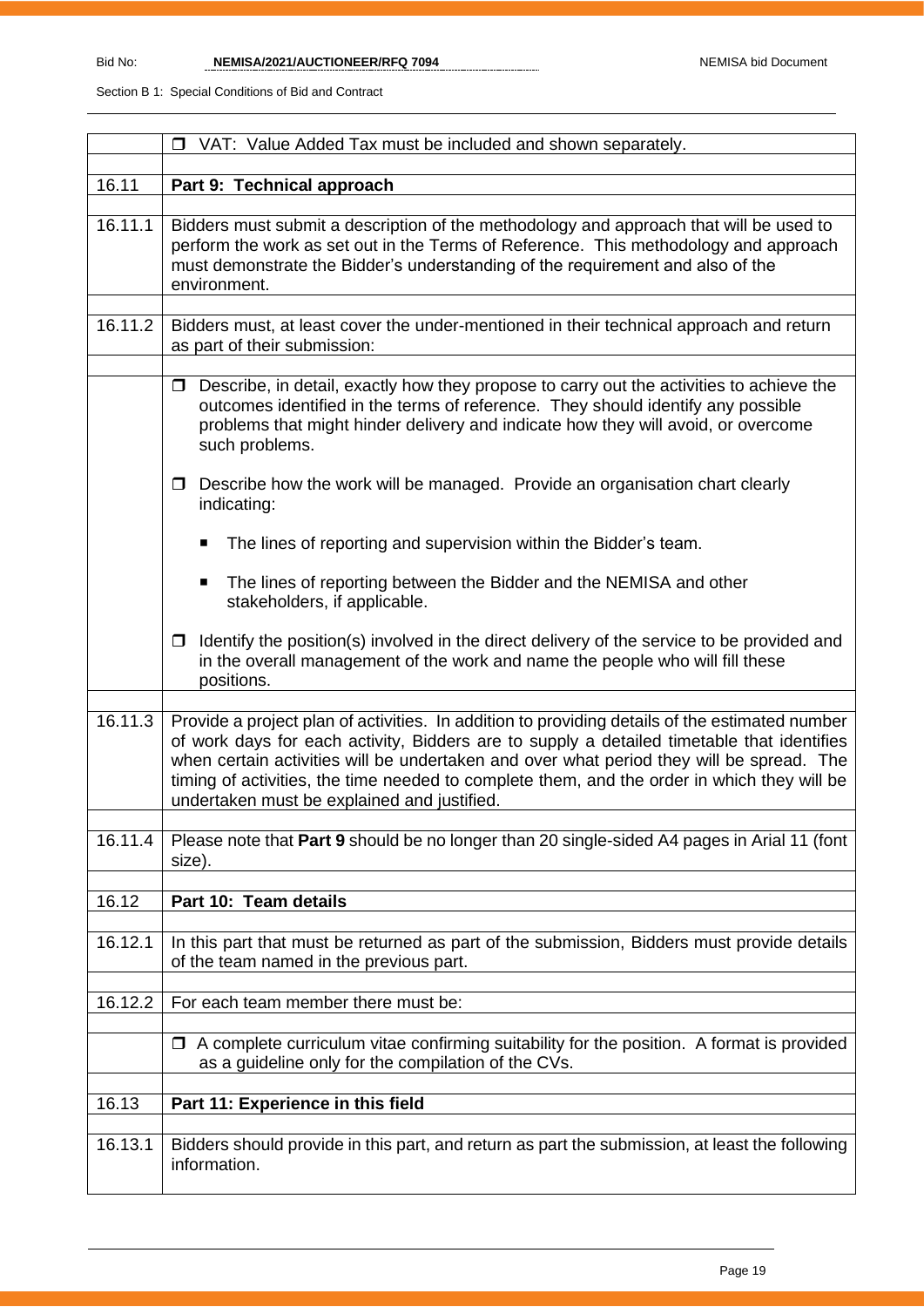|         | VAT: Value Added Tax must be included and shown separately.<br>$\Box$                                                                                                                                                                                                                                                                                                                                                                  |  |  |  |  |
|---------|----------------------------------------------------------------------------------------------------------------------------------------------------------------------------------------------------------------------------------------------------------------------------------------------------------------------------------------------------------------------------------------------------------------------------------------|--|--|--|--|
| 16.11   | Part 9: Technical approach                                                                                                                                                                                                                                                                                                                                                                                                             |  |  |  |  |
|         |                                                                                                                                                                                                                                                                                                                                                                                                                                        |  |  |  |  |
| 16.11.1 | Bidders must submit a description of the methodology and approach that will be used to<br>perform the work as set out in the Terms of Reference. This methodology and approach<br>must demonstrate the Bidder's understanding of the requirement and also of the<br>environment.                                                                                                                                                       |  |  |  |  |
| 16.11.2 | Bidders must, at least cover the under-mentioned in their technical approach and return<br>as part of their submission:                                                                                                                                                                                                                                                                                                                |  |  |  |  |
|         |                                                                                                                                                                                                                                                                                                                                                                                                                                        |  |  |  |  |
|         | Describe, in detail, exactly how they propose to carry out the activities to achieve the<br>0<br>outcomes identified in the terms of reference. They should identify any possible<br>problems that might hinder delivery and indicate how they will avoid, or overcome<br>such problems.                                                                                                                                               |  |  |  |  |
|         | Describe how the work will be managed. Provide an organisation chart clearly<br>$\Box$<br>indicating:                                                                                                                                                                                                                                                                                                                                  |  |  |  |  |
|         | The lines of reporting and supervision within the Bidder's team.<br>п                                                                                                                                                                                                                                                                                                                                                                  |  |  |  |  |
|         | The lines of reporting between the Bidder and the NEMISA and other<br>п<br>stakeholders, if applicable.                                                                                                                                                                                                                                                                                                                                |  |  |  |  |
|         | Identify the position(s) involved in the direct delivery of the service to be provided and<br>in the overall management of the work and name the people who will fill these<br>positions.                                                                                                                                                                                                                                              |  |  |  |  |
| 16.11.3 |                                                                                                                                                                                                                                                                                                                                                                                                                                        |  |  |  |  |
|         | Provide a project plan of activities. In addition to providing details of the estimated number<br>of work days for each activity, Bidders are to supply a detailed timetable that identifies<br>when certain activities will be undertaken and over what period they will be spread. The<br>timing of activities, the time needed to complete them, and the order in which they will be<br>undertaken must be explained and justified. |  |  |  |  |
| 16.11.4 | Please note that Part 9 should be no longer than 20 single-sided A4 pages in Arial 11 (font<br>size).                                                                                                                                                                                                                                                                                                                                  |  |  |  |  |
|         |                                                                                                                                                                                                                                                                                                                                                                                                                                        |  |  |  |  |
| 16.12   | Part 10: Team details                                                                                                                                                                                                                                                                                                                                                                                                                  |  |  |  |  |
| 16.12.1 | In this part that must be returned as part of the submission, Bidders must provide details<br>of the team named in the previous part.                                                                                                                                                                                                                                                                                                  |  |  |  |  |
| 16.12.2 | For each team member there must be:                                                                                                                                                                                                                                                                                                                                                                                                    |  |  |  |  |
|         | $\Box$ A complete curriculum vitae confirming suitability for the position. A format is provided<br>as a guideline only for the compilation of the CVs.                                                                                                                                                                                                                                                                                |  |  |  |  |
| 16.13   | Part 11: Experience in this field                                                                                                                                                                                                                                                                                                                                                                                                      |  |  |  |  |
|         |                                                                                                                                                                                                                                                                                                                                                                                                                                        |  |  |  |  |
| 16.13.1 | Bidders should provide in this part, and return as part the submission, at least the following<br>information.                                                                                                                                                                                                                                                                                                                         |  |  |  |  |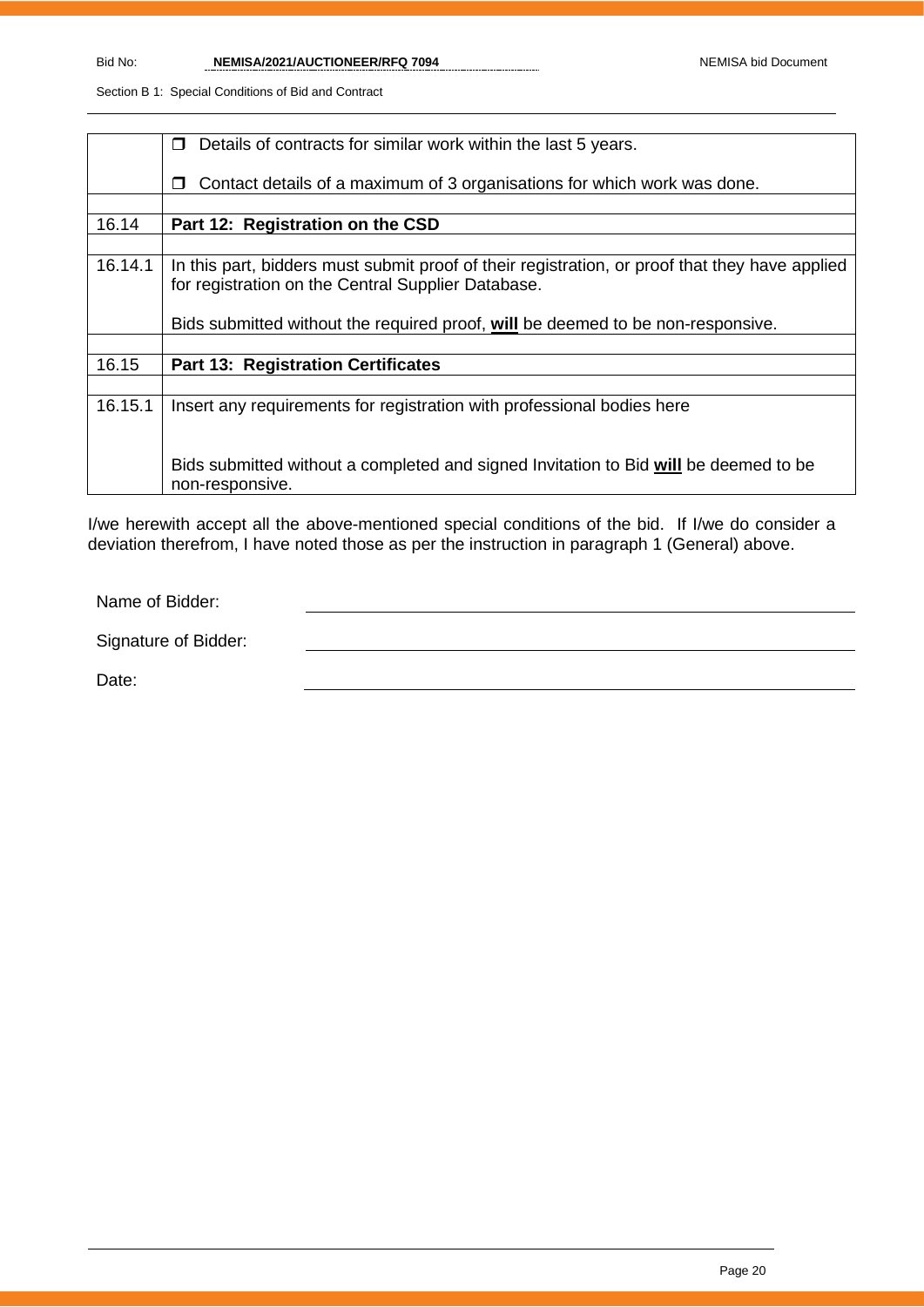|         | Details of contracts for similar work within the last 5 years.<br>$\Box$                       |  |  |  |  |
|---------|------------------------------------------------------------------------------------------------|--|--|--|--|
|         |                                                                                                |  |  |  |  |
|         | Contact details of a maximum of 3 organisations for which work was done.<br>П                  |  |  |  |  |
|         |                                                                                                |  |  |  |  |
|         |                                                                                                |  |  |  |  |
| 16.14   | Part 12: Registration on the CSD                                                               |  |  |  |  |
|         |                                                                                                |  |  |  |  |
| 16.14.1 | In this part, bidders must submit proof of their registration, or proof that they have applied |  |  |  |  |
|         | for registration on the Central Supplier Database.                                             |  |  |  |  |
|         |                                                                                                |  |  |  |  |
|         |                                                                                                |  |  |  |  |
|         | Bids submitted without the required proof, will be deemed to be non-responsive.                |  |  |  |  |
|         |                                                                                                |  |  |  |  |
| 16.15   | <b>Part 13: Registration Certificates</b>                                                      |  |  |  |  |
|         |                                                                                                |  |  |  |  |
| 16.15.1 | Insert any requirements for registration with professional bodies here                         |  |  |  |  |
|         |                                                                                                |  |  |  |  |
|         |                                                                                                |  |  |  |  |
|         |                                                                                                |  |  |  |  |
|         | Bids submitted without a completed and signed Invitation to Bid will be deemed to be           |  |  |  |  |
|         | non-responsive.                                                                                |  |  |  |  |
|         |                                                                                                |  |  |  |  |

I/we herewith accept all the above-mentioned special conditions of the bid. If I/we do consider a deviation therefrom, I have noted those as per the instruction in paragraph 1 (General) above.

Name of Bidder:

Signature of Bidder:

Date: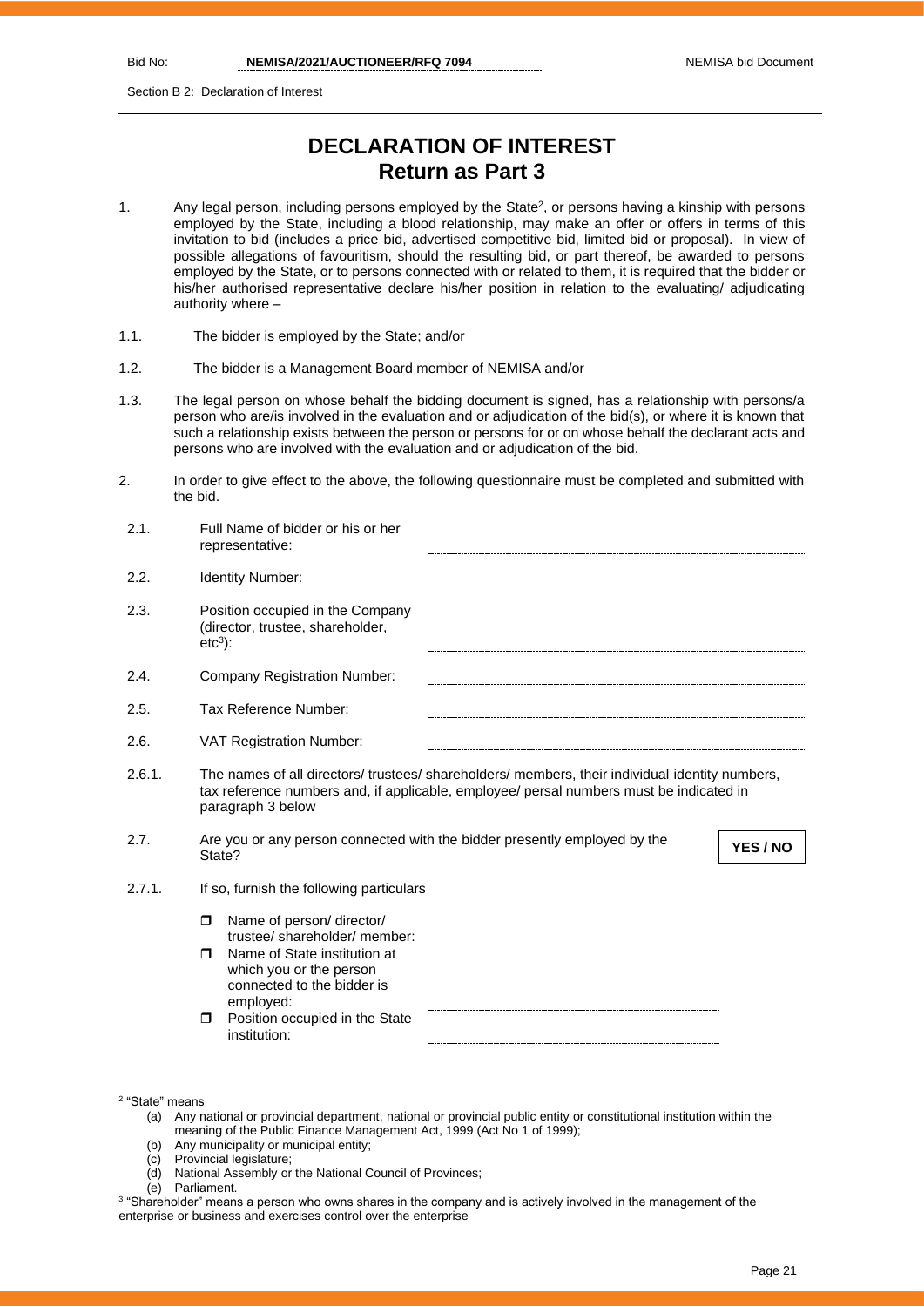Section B 2: Declaration of Interest

# **DECLARATION OF INTEREST Return as Part 3**

- 1. Any legal person, including persons employed by the State<sup>2</sup>, or persons having a kinship with persons employed by the State, including a blood relationship, may make an offer or offers in terms of this invitation to bid (includes a price bid, advertised competitive bid, limited bid or proposal). In view of possible allegations of favouritism, should the resulting bid, or part thereof, be awarded to persons employed by the State, or to persons connected with or related to them, it is required that the bidder or his/her authorised representative declare his/her position in relation to the evaluating/ adjudicating authority where –
- 1.1. The bidder is employed by the State; and/or
- 1.2. The bidder is a Management Board member of NEMISA and/or
- 1.3. The legal person on whose behalf the bidding document is signed, has a relationship with persons/a person who are/is involved in the evaluation and or adjudication of the bid(s), or where it is known that such a relationship exists between the person or persons for or on whose behalf the declarant acts and persons who are involved with the evaluation and or adjudication of the bid.
- 2. In order to give effect to the above, the following questionnaire must be completed and submitted with the bid.

| 2.1.   | Full Name of bidder or his or her<br>representative:                                                                                                                                                            |
|--------|-----------------------------------------------------------------------------------------------------------------------------------------------------------------------------------------------------------------|
| 2.2.   | Identity Number:                                                                                                                                                                                                |
| 2.3.   | Position occupied in the Company<br>(director, trustee, shareholder,<br>$etc3$ :                                                                                                                                |
| 2.4.   | Company Registration Number:                                                                                                                                                                                    |
| 2.5.   | Tax Reference Number:                                                                                                                                                                                           |
| 2.6.   | <b>VAT Registration Number:</b>                                                                                                                                                                                 |
| 2.6.1. | The names of all directors/ trustees/ shareholders/ members, their individual identity numbers,<br>tax reference numbers and, if applicable, employee/ persal numbers must be indicated in<br>paragraph 3 below |
| 2.7.   | Are you or any person connected with the bidder presently employed by the<br>YES / NO<br>State?                                                                                                                 |
| 2.7.1. | If so, furnish the following particulars                                                                                                                                                                        |
|        | Name of person/ director/<br>$\Box$<br>trustee/shareholder/member:                                                                                                                                              |
|        | Name of State institution at<br>$\Box$<br>which you or the person<br>connected to the bidder is<br>employed:                                                                                                    |
|        | Position occupied in the State<br>$\Box$<br>institution:                                                                                                                                                        |

- (b) Any municipality or municipal entity;
- (c) Provincial legislature;
- (d) National Assembly or the National Council of Provinces;
- (e) Parliament.

<sup>2</sup> "State" means

<sup>(</sup>a) Any national or provincial department, national or provincial public entity or constitutional institution within the meaning of the Public Finance Management Act, 1999 (Act No 1 of 1999);

 $^3$  "Shareholder" means a person who owns shares in the company and is actively involved in the management of the enterprise or business and exercises control over the enterprise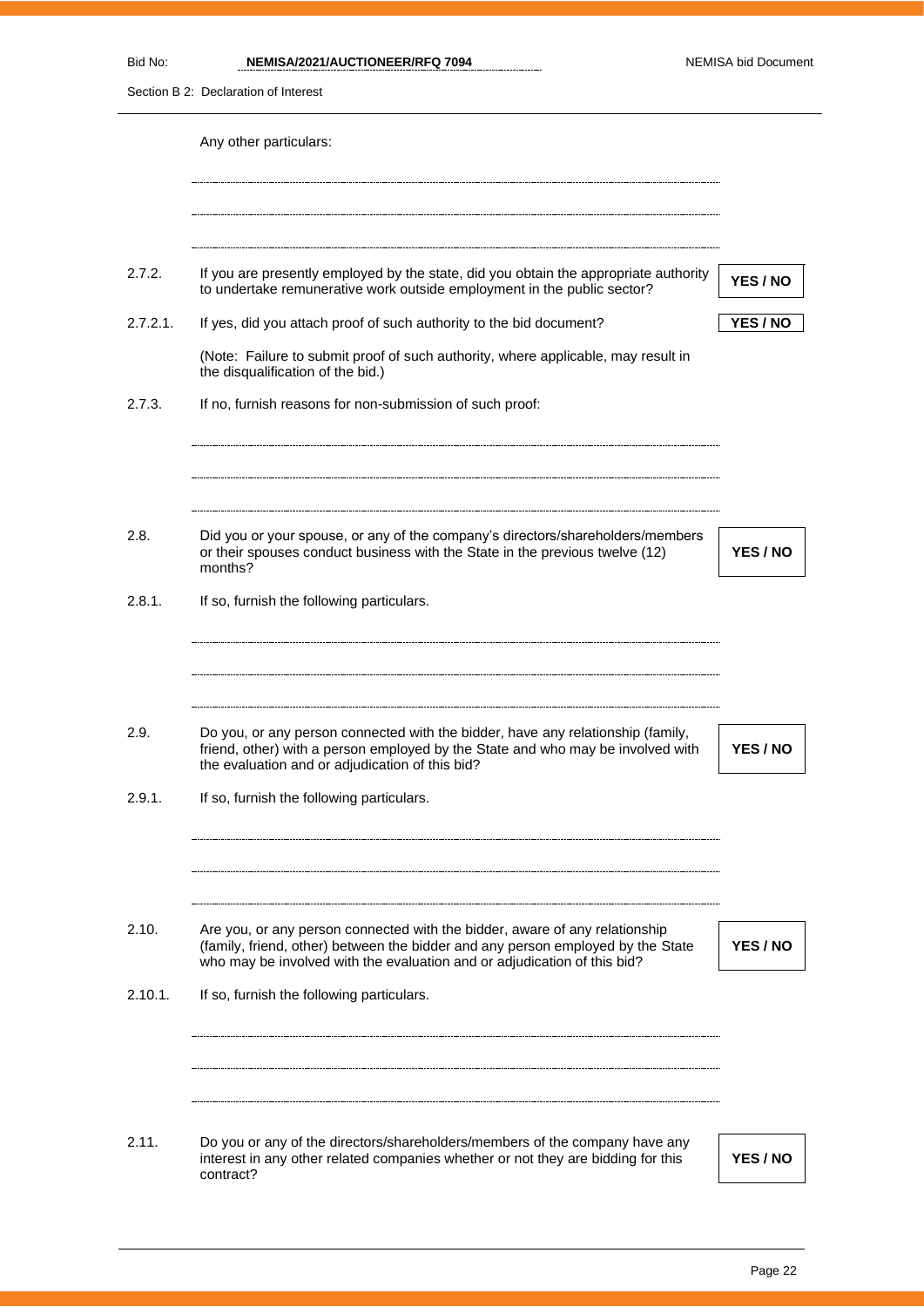## **NEMISA/2021/AUCTIONEER/RFQ 7094** NEMISA bid Document

| Section B 2: Declaration of Interest |                                                                                                                                                                                                                                            |          |  |  |
|--------------------------------------|--------------------------------------------------------------------------------------------------------------------------------------------------------------------------------------------------------------------------------------------|----------|--|--|
|                                      | Any other particulars:                                                                                                                                                                                                                     |          |  |  |
|                                      |                                                                                                                                                                                                                                            |          |  |  |
| 2.7.2.                               | If you are presently employed by the state, did you obtain the appropriate authority<br>to undertake remunerative work outside employment in the public sector?                                                                            | YES / NO |  |  |
| 2.7.2.1.                             | If yes, did you attach proof of such authority to the bid document?                                                                                                                                                                        | YES / NO |  |  |
|                                      | (Note: Failure to submit proof of such authority, where applicable, may result in<br>the disqualification of the bid.)                                                                                                                     |          |  |  |
| 2.7.3.                               | If no, furnish reasons for non-submission of such proof:                                                                                                                                                                                   |          |  |  |
|                                      |                                                                                                                                                                                                                                            |          |  |  |
| 2.8.                                 | Did you or your spouse, or any of the company's directors/shareholders/members<br>or their spouses conduct business with the State in the previous twelve (12)<br>months?                                                                  | YES / NO |  |  |
| 2.8.1.                               | If so, furnish the following particulars.                                                                                                                                                                                                  |          |  |  |
| 2.9.                                 | Do you, or any person connected with the bidder, have any relationship (family,<br>friend, other) with a person employed by the State and who may be involved with<br>the evaluation and or adjudication of this bid?                      | YES / NO |  |  |
| 2.9.1.                               | If so, furnish the following particulars.                                                                                                                                                                                                  |          |  |  |
|                                      |                                                                                                                                                                                                                                            |          |  |  |
| 2.10.                                | Are you, or any person connected with the bidder, aware of any relationship<br>(family, friend, other) between the bidder and any person employed by the State<br>who may be involved with the evaluation and or adjudication of this bid? | YES / NO |  |  |
| 2.10.1.                              | If so, furnish the following particulars.                                                                                                                                                                                                  |          |  |  |
|                                      |                                                                                                                                                                                                                                            |          |  |  |
| 2.11.                                | Do you or any of the directors/shareholders/members of the company have any<br>interest in any other related companies whether or not they are bidding for this<br>contract?                                                               | YES / NO |  |  |
|                                      |                                                                                                                                                                                                                                            |          |  |  |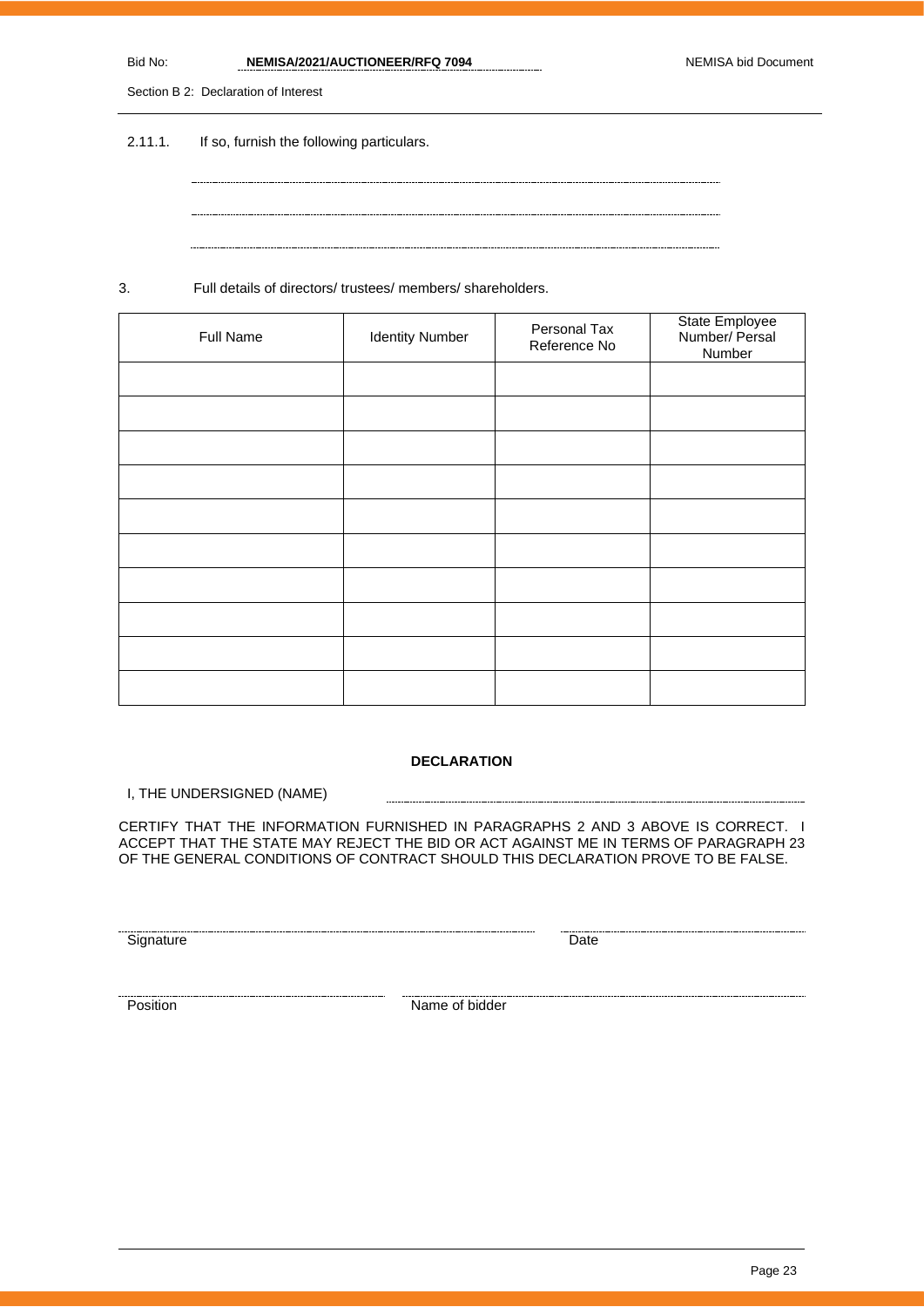| Bid No. | NEMISA/2021/AUCTIONEER/RFQ 7094 | <b>NEMISA bid Document</b> |
|---------|---------------------------------|----------------------------|
|         |                                 |                            |

Section B 2: Declaration of Interest

2.11.1. If so, furnish the following particulars.

3. Full details of directors/ trustees/ members/ shareholders.

| Full Name | <b>Identity Number</b> | Personal Tax<br>Reference No | State Employee<br>Number/ Persal<br>Number |
|-----------|------------------------|------------------------------|--------------------------------------------|
|           |                        |                              |                                            |
|           |                        |                              |                                            |
|           |                        |                              |                                            |
|           |                        |                              |                                            |
|           |                        |                              |                                            |
|           |                        |                              |                                            |
|           |                        |                              |                                            |
|           |                        |                              |                                            |
|           |                        |                              |                                            |
|           |                        |                              |                                            |

### **DECLARATION**

I, THE UNDERSIGNED (NAME)

CERTIFY THAT THE INFORMATION FURNISHED IN PARAGRAPHS 2 AND 3 ABOVE IS CORRECT. I ACCEPT THAT THE STATE MAY REJECT THE BID OR ACT AGAINST ME IN TERMS OF PARAGRAPH 23 OF THE GENERAL CONDITIONS OF CONTRACT SHOULD THIS DECLARATION PROVE TO BE FALSE.

Signature Date

Position Name of bidder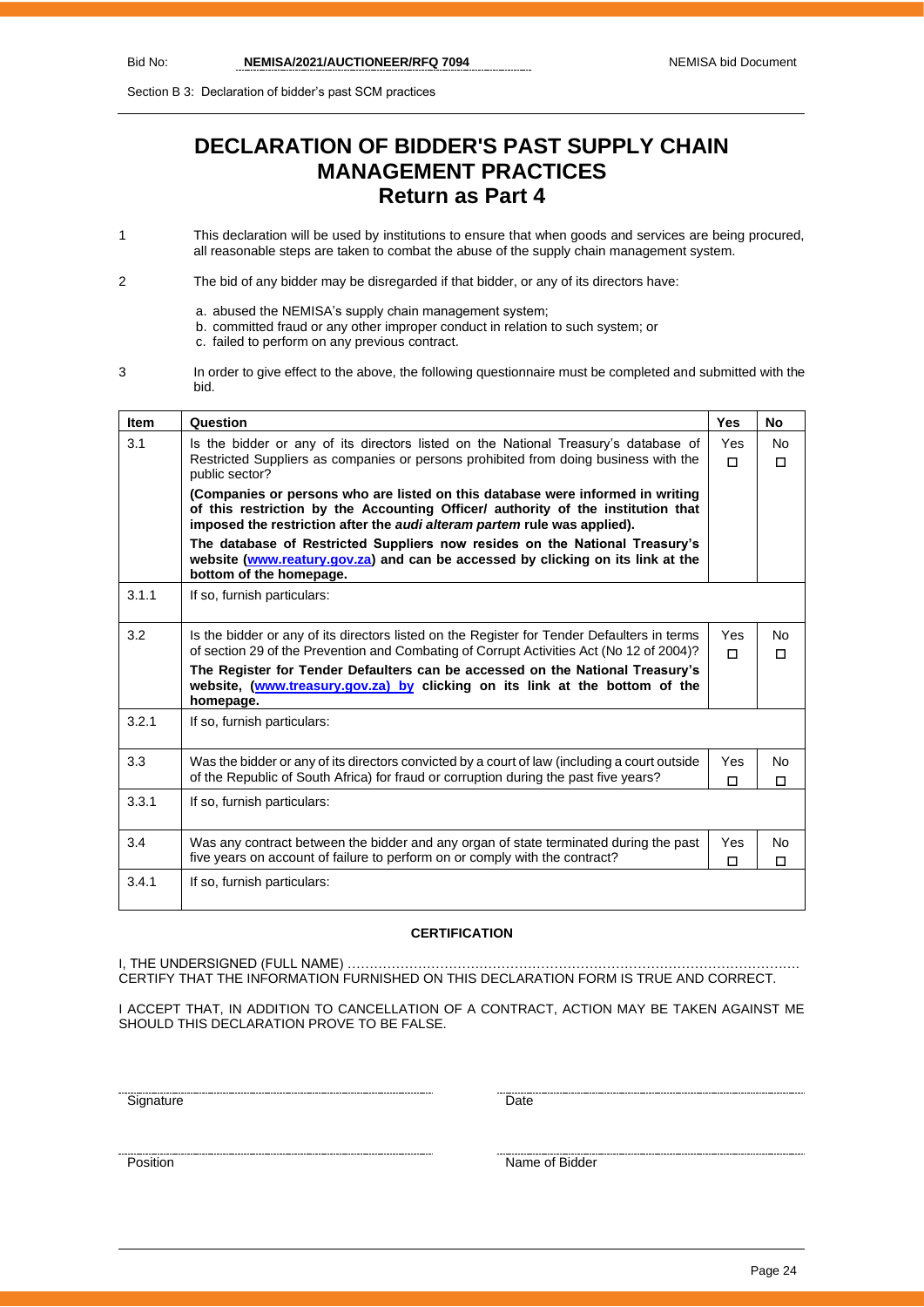Section B 3: Declaration of bidder's past SCM practices

# **DECLARATION OF BIDDER'S PAST SUPPLY CHAIN MANAGEMENT PRACTICES Return as Part 4**

1 This declaration will be used by institutions to ensure that when goods and services are being procured, all reasonable steps are taken to combat the abuse of the supply chain management system.

2 The bid of any bidder may be disregarded if that bidder, or any of its directors have:

- a. abused the NEMISA's supply chain management system;
- b. committed fraud or any other improper conduct in relation to such system; or
	- c. failed to perform on any previous contract.
- 3 In order to give effect to the above, the following questionnaire must be completed and submitted with the bid.

| <b>Item</b> | Question                                                                                                                                                                                                                                                                | <b>Yes</b>      | No.            |
|-------------|-------------------------------------------------------------------------------------------------------------------------------------------------------------------------------------------------------------------------------------------------------------------------|-----------------|----------------|
| 3.1         | Is the bidder or any of its directors listed on the National Treasury's database of<br>Restricted Suppliers as companies or persons prohibited from doing business with the                                                                                             | <b>Yes</b><br>п | No.<br>П       |
|             | public sector?<br>(Companies or persons who are listed on this database were informed in writing<br>of this restriction by the Accounting Officer/ authority of the institution that<br>imposed the restriction after the <i>audi alteram partem</i> rule was applied). |                 |                |
|             | The database of Restricted Suppliers now resides on the National Treasury's<br>website (www.reatury.gov.za) and can be accessed by clicking on its link at the<br>bottom of the homepage.                                                                               |                 |                |
| 3.1.1       | If so, furnish particulars:                                                                                                                                                                                                                                             |                 |                |
| 3.2         | Is the bidder or any of its directors listed on the Register for Tender Defaulters in terms<br>of section 29 of the Prevention and Combating of Corrupt Activities Act (No 12 of 2004)?                                                                                 | Yes<br>П        | No.<br>П       |
|             | The Register for Tender Defaulters can be accessed on the National Treasury's<br>website, (www.treasury.gov.za) by clicking on its link at the bottom of the<br>homepage.                                                                                               |                 |                |
| 3.2.1       | If so, furnish particulars:                                                                                                                                                                                                                                             |                 |                |
| 3.3         | Was the bidder or any of its directors convicted by a court of law (including a court outside<br>of the Republic of South Africa) for fraud or corruption during the past five years?                                                                                   | <b>Yes</b><br>П | No<br>П        |
| 3.3.1       | If so, furnish particulars:                                                                                                                                                                                                                                             |                 |                |
| 3.4         | Was any contract between the bidder and any organ of state terminated during the past<br>five years on account of failure to perform on or comply with the contract?                                                                                                    | <b>Yes</b><br>П | <b>No</b><br>П |
| 3.4.1       | If so, furnish particulars:                                                                                                                                                                                                                                             |                 |                |

#### **CERTIFICATION**

I, THE UNDERSIGNED (FULL NAME) …………………………………………………………………………………………. CERTIFY THAT THE INFORMATION FURNISHED ON THIS DECLARATION FORM IS TRUE AND CORRECT.

I ACCEPT THAT, IN ADDITION TO CANCELLATION OF A CONTRACT, ACTION MAY BE TAKEN AGAINST ME SHOULD THIS DECLARATION PROVE TO BE FALSE.

Signature Date

name of Bidder Name of Bidder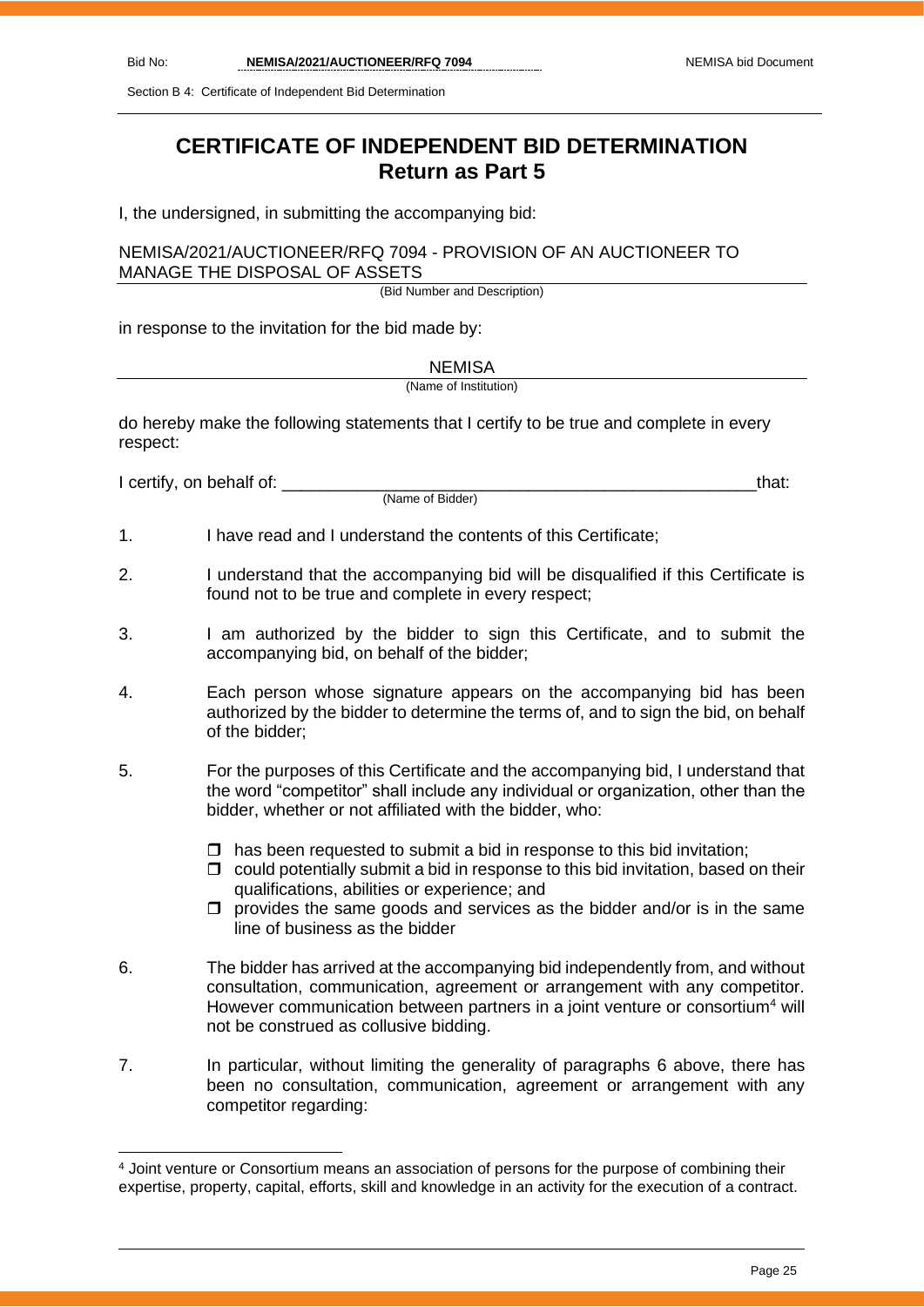Section B 4: Certificate of Independent Bid Determination

# **CERTIFICATE OF INDEPENDENT BID DETERMINATION Return as Part 5**

I, the undersigned, in submitting the accompanying bid:

## NEMISA/2021/AUCTIONEER/RFQ 7094 - PROVISION OF AN AUCTIONEER TO MANAGE THE DISPOSAL OF ASSETS

(Bid Number and Description)

in response to the invitation for the bid made by:

NEMISA

(Name of Institution)

do hereby make the following statements that I certify to be true and complete in every respect:

I certify, on behalf of: that:  $\blacksquare$ 

(Name of Bidder)

1. I have read and I understand the contents of this Certificate;

- 2. I understand that the accompanying bid will be disqualified if this Certificate is found not to be true and complete in every respect;
- 3. I am authorized by the bidder to sign this Certificate, and to submit the accompanying bid, on behalf of the bidder;
- 4. Each person whose signature appears on the accompanying bid has been authorized by the bidder to determine the terms of, and to sign the bid, on behalf of the bidder;
- 5. For the purposes of this Certificate and the accompanying bid, I understand that the word "competitor" shall include any individual or organization, other than the bidder, whether or not affiliated with the bidder, who:
	- $\Box$  has been requested to submit a bid in response to this bid invitation;
	- $\Box$  could potentially submit a bid in response to this bid invitation, based on their qualifications, abilities or experience; and
	- $\Box$  provides the same goods and services as the bidder and/or is in the same line of business as the bidder
- 6. The bidder has arrived at the accompanying bid independently from, and without consultation, communication, agreement or arrangement with any competitor. However communication between partners in a joint venture or consortium<sup>4</sup> will not be construed as collusive bidding.
- 7. In particular, without limiting the generality of paragraphs 6 above, there has been no consultation, communication, agreement or arrangement with any competitor regarding:

<sup>4</sup> Joint venture or Consortium means an association of persons for the purpose of combining their expertise, property, capital, efforts, skill and knowledge in an activity for the execution of a contract.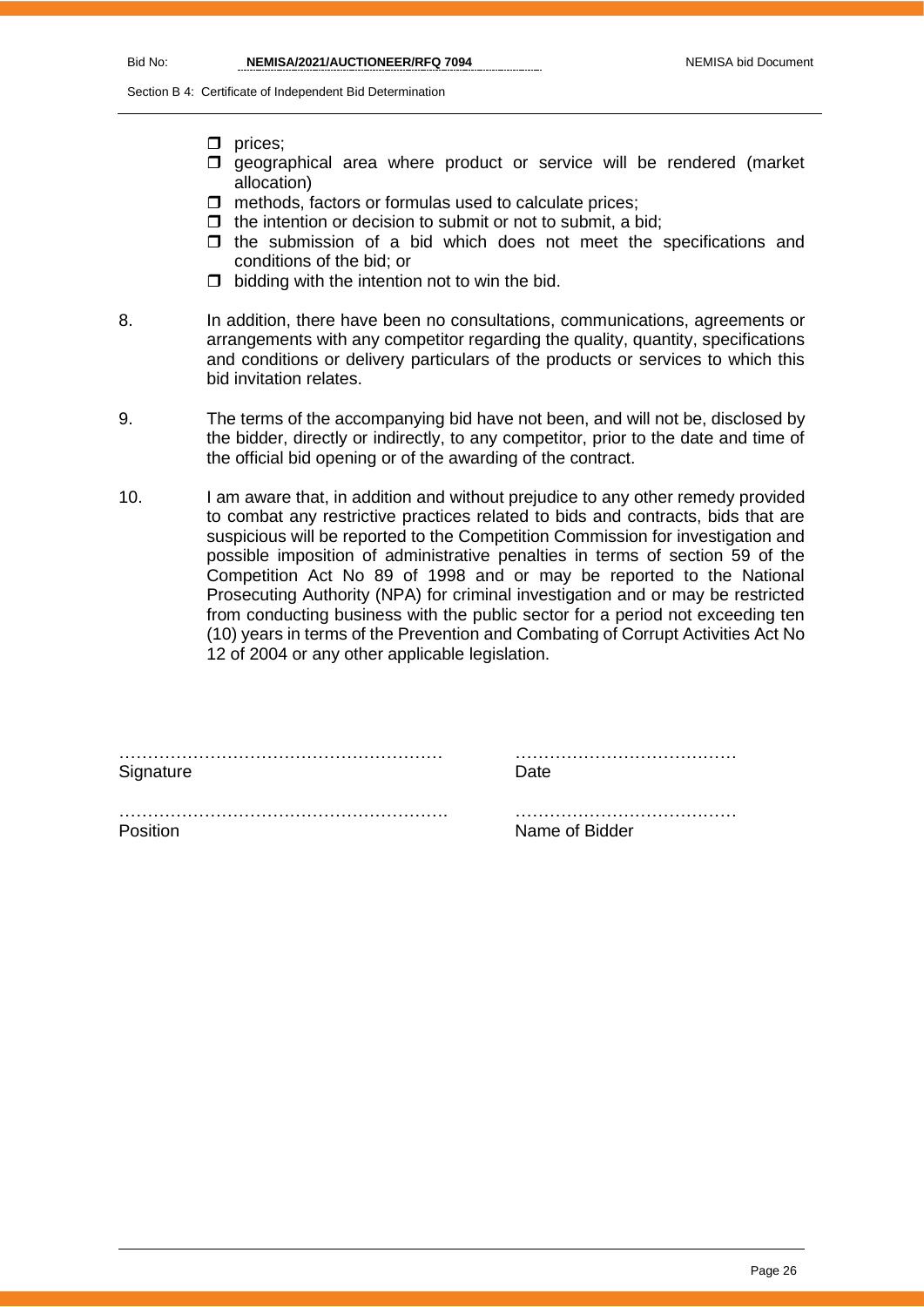Section B 4: Certificate of Independent Bid Determination

- $\square$  prices:
- $\square$  geographical area where product or service will be rendered (market allocation)
- $\Box$  methods, factors or formulas used to calculate prices;
- $\Box$  the intention or decision to submit or not to submit, a bid;
- $\Box$  the submission of a bid which does not meet the specifications and conditions of the bid; or
- $\Box$  bidding with the intention not to win the bid.
- 8. In addition, there have been no consultations, communications, agreements or arrangements with any competitor regarding the quality, quantity, specifications and conditions or delivery particulars of the products or services to which this bid invitation relates.
- 9. The terms of the accompanying bid have not been, and will not be, disclosed by the bidder, directly or indirectly, to any competitor, prior to the date and time of the official bid opening or of the awarding of the contract.
- 10. I am aware that, in addition and without prejudice to any other remedy provided to combat any restrictive practices related to bids and contracts, bids that are suspicious will be reported to the Competition Commission for investigation and possible imposition of administrative penalties in terms of section 59 of the Competition Act No 89 of 1998 and or may be reported to the National Prosecuting Authority (NPA) for criminal investigation and or may be restricted from conducting business with the public sector for a period not exceeding ten (10) years in terms of the Prevention and Combating of Corrupt Activities Act No 12 of 2004 or any other applicable legislation.

…………………………………………………. …………………………………

………………………………………………… ………………………………… Signature **Date** 

Position **Name of Bidder Name of Bidder**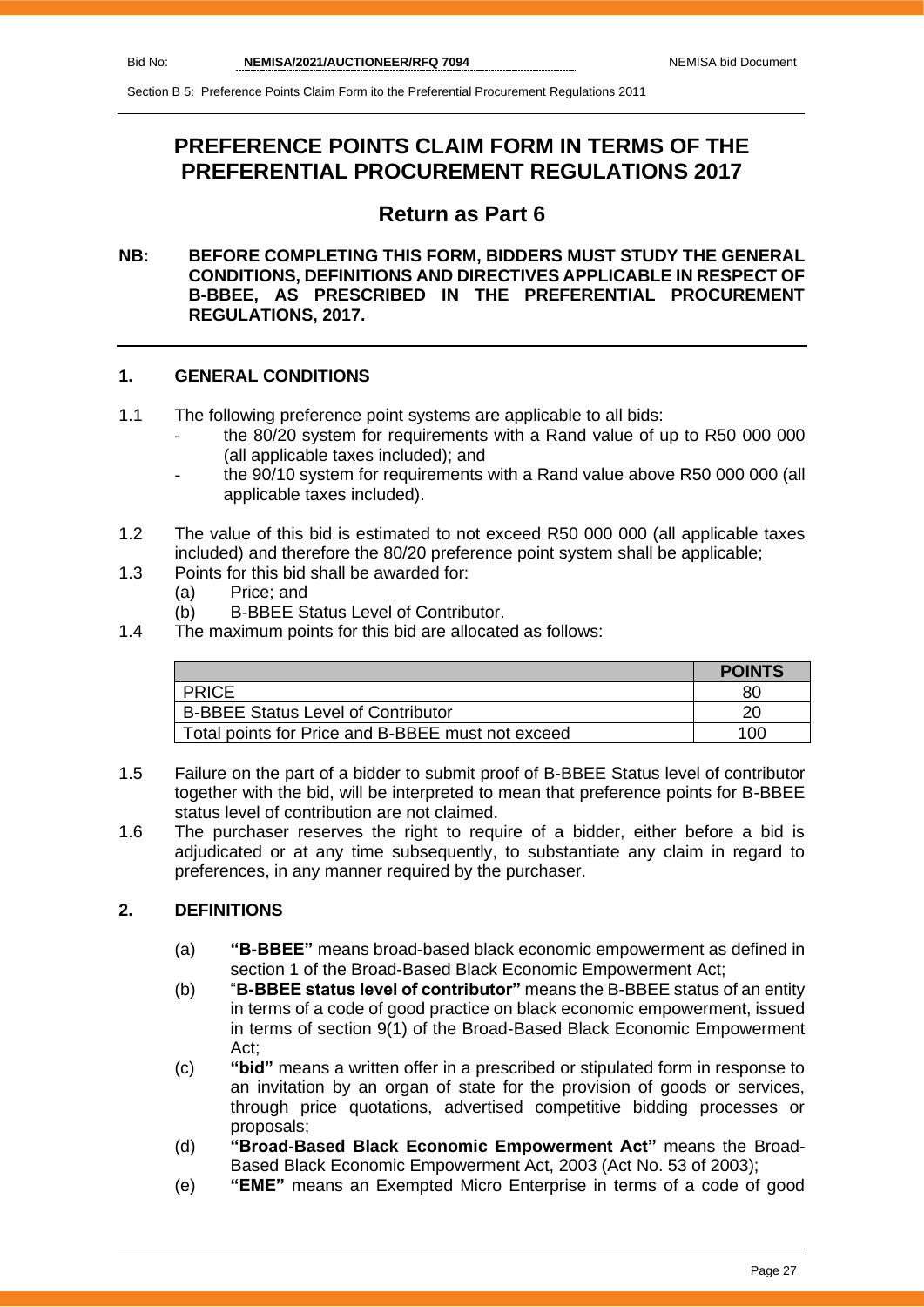# **PREFERENCE POINTS CLAIM FORM IN TERMS OF THE PREFERENTIAL PROCUREMENT REGULATIONS 2017**

## **Return as Part 6**

## **NB: BEFORE COMPLETING THIS FORM, BIDDERS MUST STUDY THE GENERAL CONDITIONS, DEFINITIONS AND DIRECTIVES APPLICABLE IN RESPECT OF B-BBEE, AS PRESCRIBED IN THE PREFERENTIAL PROCUREMENT REGULATIONS, 2017.**

## **1. GENERAL CONDITIONS**

- 1.1 The following preference point systems are applicable to all bids:
	- the 80/20 system for requirements with a Rand value of up to R50 000 000 (all applicable taxes included); and
	- the 90/10 system for requirements with a Rand value above R50 000 000 (all applicable taxes included).
- 1.2 The value of this bid is estimated to not exceed R50 000 000 (all applicable taxes included) and therefore the 80/20 preference point system shall be applicable;
- 1.3 Points for this bid shall be awarded for:
	- (a) Price; and
	- (b) B-BBEE Status Level of Contributor.
- 1.4 The maximum points for this bid are allocated as follows:

|                                                   | <b>POINTS</b> |
|---------------------------------------------------|---------------|
| <b>PRICE</b>                                      | 80            |
| <b>B-BBEE Status Level of Contributor</b>         | 20            |
| Total points for Price and B-BBEE must not exceed | 100           |

- 1.5 Failure on the part of a bidder to submit proof of B-BBEE Status level of contributor together with the bid, will be interpreted to mean that preference points for B-BBEE status level of contribution are not claimed.
- 1.6 The purchaser reserves the right to require of a bidder, either before a bid is adjudicated or at any time subsequently, to substantiate any claim in regard to preferences, in any manner required by the purchaser.

## **2. DEFINITIONS**

- (a) **"B-BBEE"** means broad-based black economic empowerment as defined in section 1 of the Broad-Based Black Economic Empowerment Act;
- (b) "**B-BBEE status level of contributor"** means the B-BBEE status of an entity in terms of a code of good practice on black economic empowerment, issued in terms of section 9(1) of the Broad-Based Black Economic Empowerment Act;
- (c) **"bid"** means a written offer in a prescribed or stipulated form in response to an invitation by an organ of state for the provision of goods or services, through price quotations, advertised competitive bidding processes or proposals;
- (d) **"Broad-Based Black Economic Empowerment Act"** means the Broad-Based Black Economic Empowerment Act, 2003 (Act No. 53 of 2003);
- (e) **"EME"** means an Exempted Micro Enterprise in terms of a code of good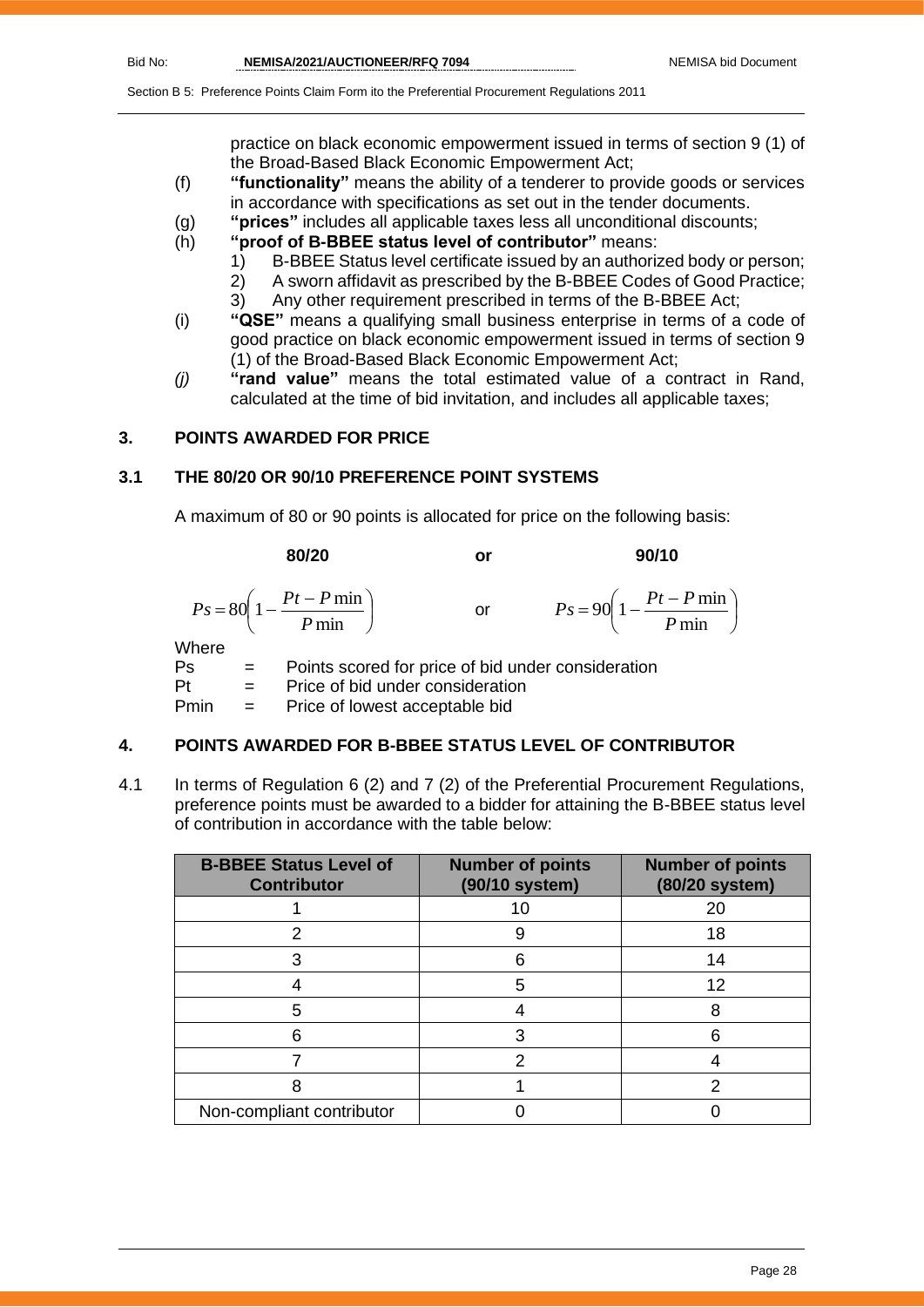practice on black economic empowerment issued in terms of section 9 (1) of the Broad-Based Black Economic Empowerment Act;

- (f) **"functionality"** means the ability of a tenderer to provide goods or services in accordance with specifications as set out in the tender documents.
- (g) **"prices"** includes all applicable taxes less all unconditional discounts;
- (h) **"proof of B-BBEE status level of contributor"** means:
	- 1) B-BBEE Status level certificate issued by an authorized body or person;
		- 2) A sworn affidavit as prescribed by the B-BBEE Codes of Good Practice;
	- 3) Any other requirement prescribed in terms of the B-BBEE Act;
- (i) **"QSE"** means a qualifying small business enterprise in terms of a code of good practice on black economic empowerment issued in terms of section 9 (1) of the Broad-Based Black Economic Empowerment Act;
- *(j)* **"rand value"** means the total estimated value of a contract in Rand, calculated at the time of bid invitation, and includes all applicable taxes;

## **3. POINTS AWARDED FOR PRICE**

## **3.1 THE 80/20 OR 90/10 PREFERENCE POINT SYSTEMS**

A maximum of 80 or 90 points is allocated for price on the following basis:

|             | 80/20                                                     | or                                                 | 90/10                                                     |
|-------------|-----------------------------------------------------------|----------------------------------------------------|-----------------------------------------------------------|
|             | $P s = 80 \left( 1 - \frac{Pt - P \min P}{ \min} \right)$ | or                                                 | $P_s = 90 \left( 1 - \frac{Pt - P \min P}{ \min} \right)$ |
| Where<br>Ps |                                                           | Points scored for price of bid under consideration |                                                           |

Pt = Price of bid under consideration Pmin = Price of lowest acceptable bid

## **4. POINTS AWARDED FOR B-BBEE STATUS LEVEL OF CONTRIBUTOR**

4.1 In terms of Regulation 6 (2) and 7 (2) of the Preferential Procurement Regulations, preference points must be awarded to a bidder for attaining the B-BBEE status level of contribution in accordance with the table below:

| <b>B-BBEE Status Level of</b><br><b>Contributor</b> | <b>Number of points</b><br>(90/10 system) | <b>Number of points</b><br>(80/20 system) |
|-----------------------------------------------------|-------------------------------------------|-------------------------------------------|
|                                                     | 10                                        | 20                                        |
|                                                     |                                           | 18                                        |
|                                                     | հ                                         | 14                                        |
|                                                     | 5                                         | 12                                        |
| 5                                                   |                                           | 8                                         |
|                                                     |                                           |                                           |
|                                                     | າ                                         |                                           |
|                                                     |                                           |                                           |
| Non-compliant contributor                           |                                           |                                           |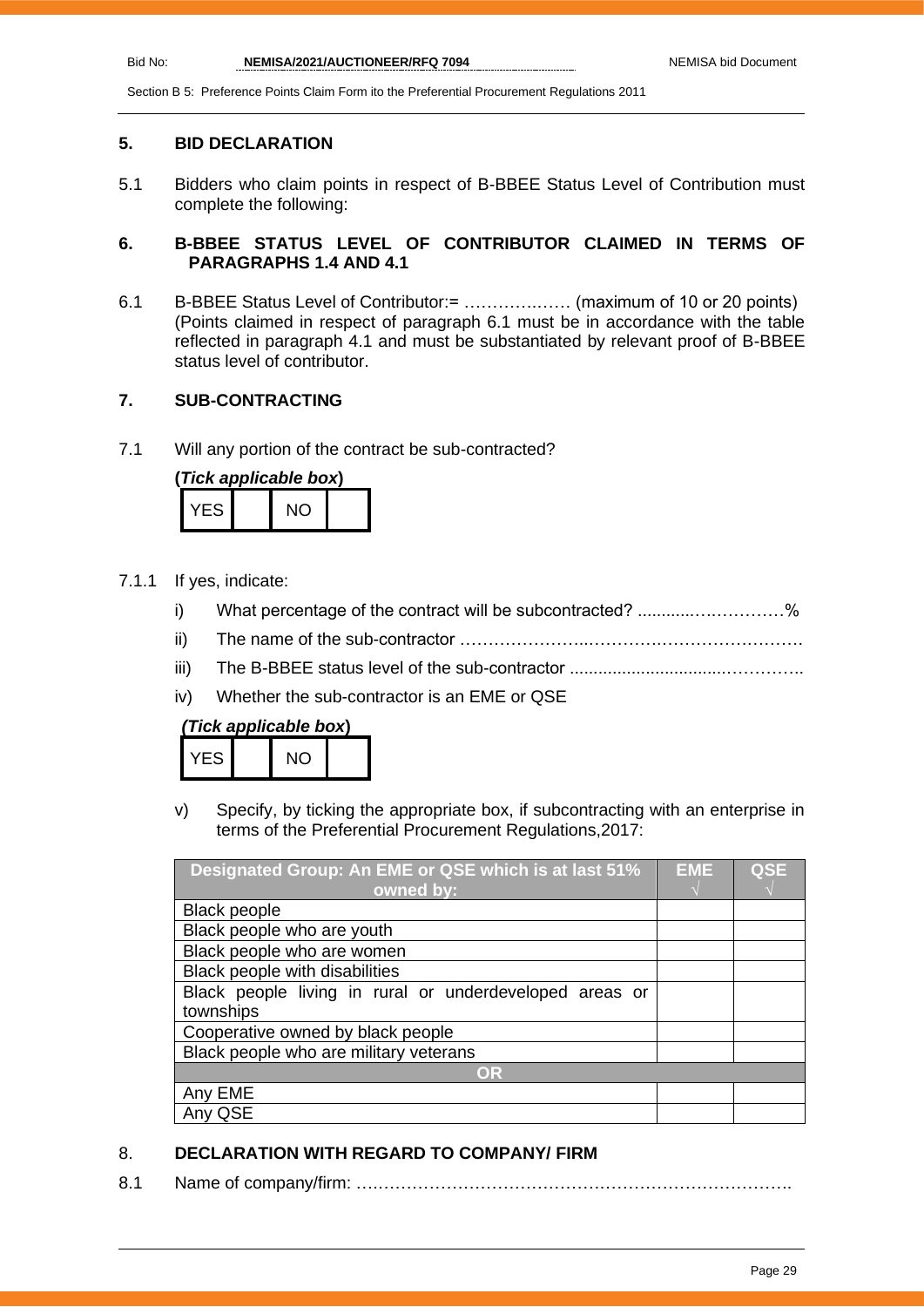## **5. BID DECLARATION**

5.1 Bidders who claim points in respect of B-BBEE Status Level of Contribution must complete the following:

## **6. B-BBEE STATUS LEVEL OF CONTRIBUTOR CLAIMED IN TERMS OF PARAGRAPHS 1.4 AND 4.1**

6.1 B-BBEE Status Level of Contributor:= ………….…… (maximum of 10 or 20 points) (Points claimed in respect of paragraph 6.1 must be in accordance with the table reflected in paragraph 4.1 and must be substantiated by relevant proof of B-BBEE status level of contributor.

## **7. SUB-CONTRACTING**

7.1 Will any portion of the contract be sub-contracted?

| (Tick applicable box) |  |     |  |
|-----------------------|--|-----|--|
| YFS.                  |  | NO. |  |

- 7.1.1 If yes, indicate:
	- i) What percentage of the contract will be subcontracted? ..........................%
	- ii) The name of the sub-contractor …………………..………….…………………….
	- iii) The B-BBEE status level of the sub-contractor .................................…………..
	- iv) Whether the sub-contractor is an EME or QSE

## *(Tick applicable box***)**

| ES | NΩ |  |
|----|----|--|
|    |    |  |

v) Specify, by ticking the appropriate box, if subcontracting with an enterprise in terms of the Preferential Procurement Regulations,2017:

| Designated Group: An EME or QSE which is at last 51%    | EME | <b>QSE</b> |
|---------------------------------------------------------|-----|------------|
| owned by:                                               |     |            |
| <b>Black people</b>                                     |     |            |
| Black people who are youth                              |     |            |
| Black people who are women                              |     |            |
| Black people with disabilities                          |     |            |
| Black people living in rural or underdeveloped areas or |     |            |
| townships                                               |     |            |
| Cooperative owned by black people                       |     |            |
| Black people who are military veterans                  |     |            |
| OR                                                      |     |            |
| Any EME                                                 |     |            |
| QSE                                                     |     |            |

## 8. **DECLARATION WITH REGARD TO COMPANY/ FIRM**

8.1 Name of company/firm: ….……………………………………………………………….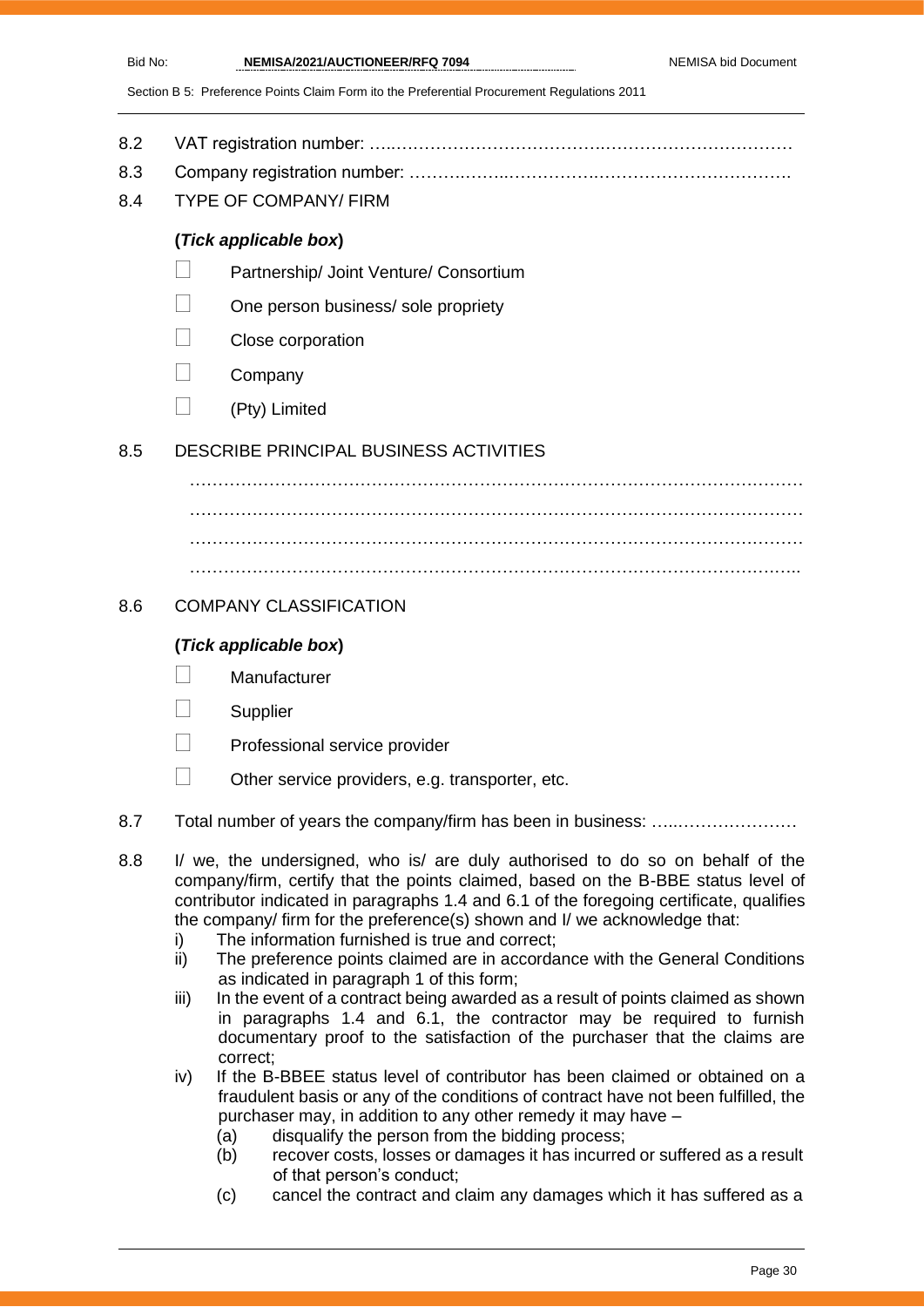- 8.2 VAT registration number: …..……………………………….……………………………
- 8.3 Company registration number: ……….……..…………….…………………………….
- 8.4 TYPE OF COMPANY/ FIRM

## **(***Tick applicable box***)**

- Partnership/ Joint Venture/ Consortium
- One person business/ sole propriety
- Close corporation
- **Company**
- $\Box$  (Pty) Limited

## 8.5 DESCRIBE PRINCIPAL BUSINESS ACTIVITIES

……………………………………………………………………………………………… ……………………………………………………………………………………………… ……………………………………………………………………………………………… ………………………………………………………………………………………….…..

## 8.6 COMPANY CLASSIFICATION

## **(***Tick applicable box***)**

- **Manufacturer**
- **Supplier**
- Professional service provider
- $\Box$  Other service providers, e.g. transporter, etc.
- 8.7 Total number of years the company/firm has been in business: ………………………
- 8.8 I/ we, the undersigned, who is/ are duly authorised to do so on behalf of the company/firm, certify that the points claimed, based on the B-BBE status level of contributor indicated in paragraphs 1.4 and 6.1 of the foregoing certificate, qualifies the company/ firm for the preference(s) shown and I/ we acknowledge that:
	- i) The information furnished is true and correct;
	- ii) The preference points claimed are in accordance with the General Conditions as indicated in paragraph 1 of this form;
	- iii) In the event of a contract being awarded as a result of points claimed as shown in paragraphs 1.4 and 6.1, the contractor may be required to furnish documentary proof to the satisfaction of the purchaser that the claims are correct;
	- iv) If the B-BBEE status level of contributor has been claimed or obtained on a fraudulent basis or any of the conditions of contract have not been fulfilled, the purchaser may, in addition to any other remedy it may have –
		- (a) disqualify the person from the bidding process;
		- (b) recover costs, losses or damages it has incurred or suffered as a result of that person's conduct;
		- (c) cancel the contract and claim any damages which it has suffered as a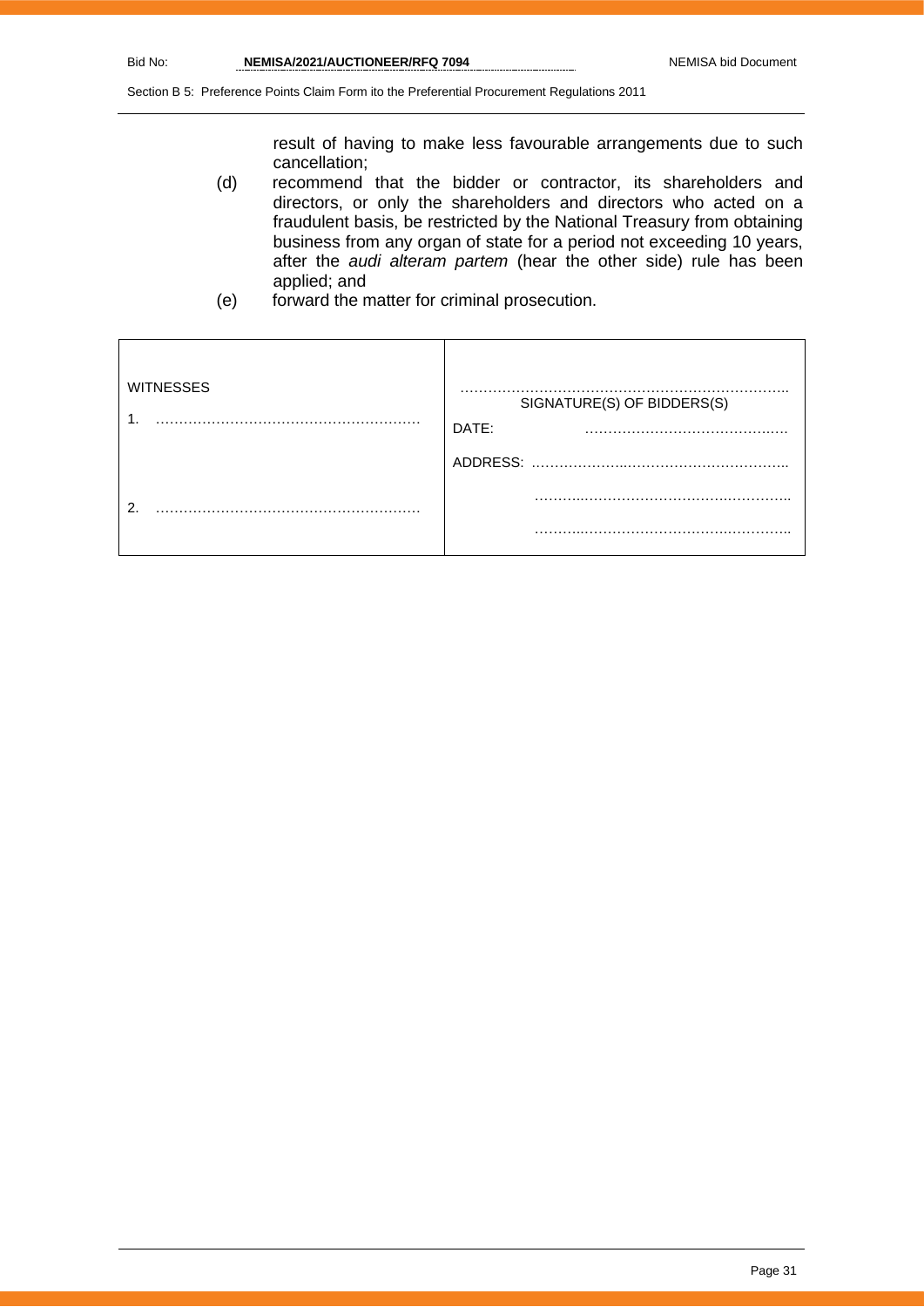result of having to make less favourable arrangements due to such cancellation;

- (d) recommend that the bidder or contractor, its shareholders and directors, or only the shareholders and directors who acted on a fraudulent basis, be restricted by the National Treasury from obtaining business from any organ of state for a period not exceeding 10 years, after the *audi alteram partem* (hear the other side) rule has been applied; and
- (e) forward the matter for criminal prosecution.

| <b>WITNESSES</b> | .<br>SIGNATURE(S) OF BIDDERS(S)<br>DATE:<br>. . |
|------------------|-------------------------------------------------|
|                  | ADDRESS:                                        |
| റ                |                                                 |
|                  | .                                               |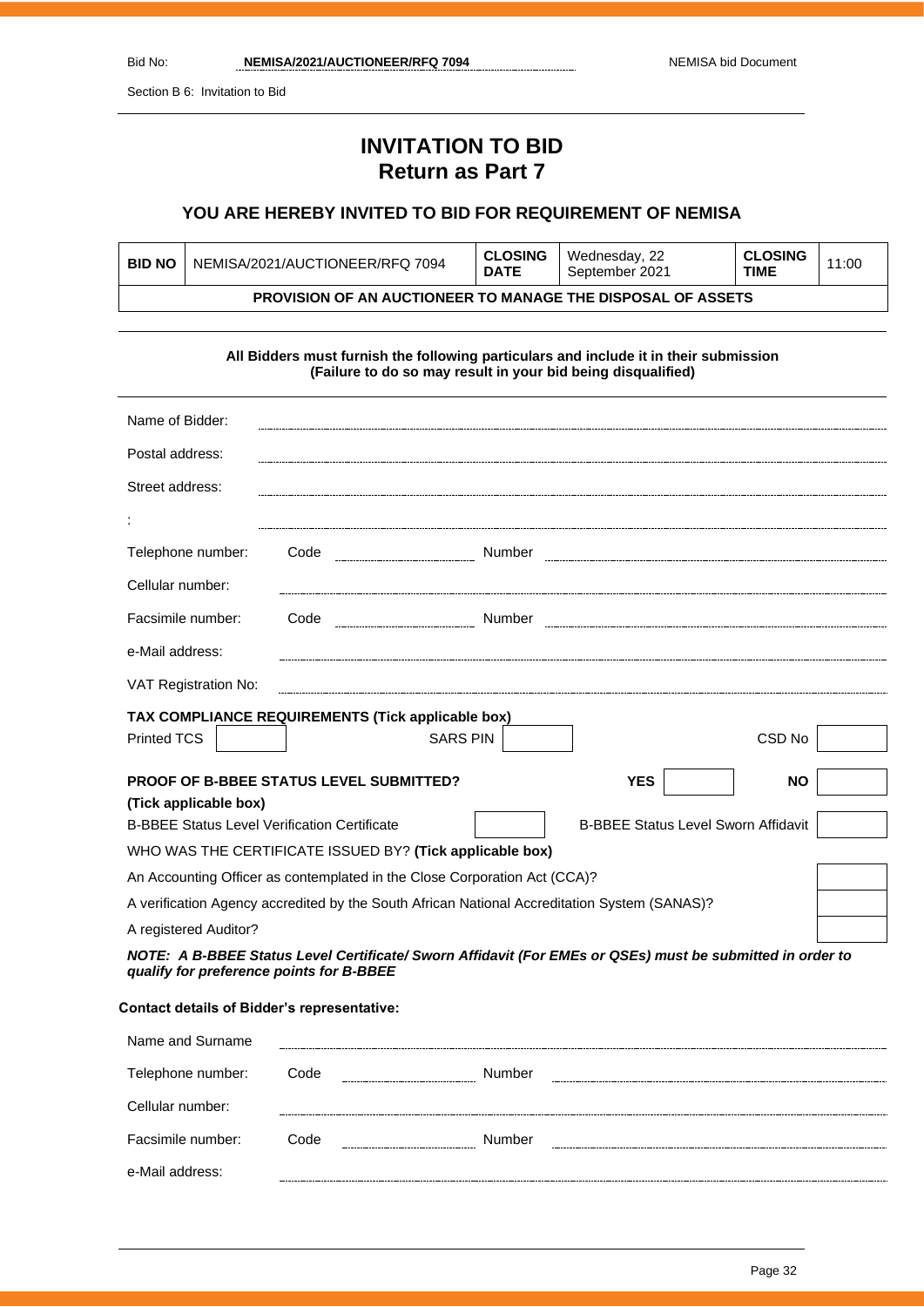Section B 6: Invitation to Bid

# **INVITATION TO BID Return as Part 7**

## **YOU ARE HEREBY INVITED TO BID FOR REQUIREMENT OF NEMISA**

| <b>BID NO</b> | NEMISA/2021/AUCTIONEER/RFQ 7094                                    | <b>CLOSING</b><br><b>DATE</b> | Wednesday, 22<br>September 2021 | <b>CLOSING</b><br><b>TIME</b> | 11:00 |
|---------------|--------------------------------------------------------------------|-------------------------------|---------------------------------|-------------------------------|-------|
|               | <b>PROVISION OF AN AUCTIONEER TO MANAGE THE DISPOSAL OF ASSETS</b> |                               |                                 |                               |       |
|               |                                                                    |                               |                                 |                               |       |

| All Bidders must furnish the following particulars and include it in their submission<br>(Failure to do so may result in your bid being disqualified) |                                                          |                 |                                            |                   |
|-------------------------------------------------------------------------------------------------------------------------------------------------------|----------------------------------------------------------|-----------------|--------------------------------------------|-------------------|
| Name of Bidder:                                                                                                                                       |                                                          |                 |                                            |                   |
| Postal address:                                                                                                                                       |                                                          |                 |                                            |                   |
| Street address:                                                                                                                                       |                                                          |                 |                                            |                   |
|                                                                                                                                                       |                                                          |                 |                                            |                   |
| Telephone number:                                                                                                                                     | Code                                                     |                 |                                            |                   |
| Cellular number:                                                                                                                                      |                                                          |                 |                                            |                   |
| Facsimile number:                                                                                                                                     | Code                                                     |                 |                                            |                   |
| e-Mail address:                                                                                                                                       |                                                          |                 |                                            |                   |
| VAT Registration No:                                                                                                                                  |                                                          |                 |                                            |                   |
|                                                                                                                                                       | TAX COMPLIANCE REQUIREMENTS (Tick applicable box)        |                 |                                            |                   |
| <b>Printed TCS</b>                                                                                                                                    |                                                          | <b>SARS PIN</b> |                                            | CSD <sub>No</sub> |
|                                                                                                                                                       | <b>PROOF OF B-BBEE STATUS LEVEL SUBMITTED?</b>           |                 | <b>YES</b>                                 | <b>NO</b>         |
| (Tick applicable box)                                                                                                                                 |                                                          |                 |                                            |                   |
| <b>B-BBEE Status Level Verification Certificate</b>                                                                                                   |                                                          |                 | <b>B-BBEE Status Level Sworn Affidavit</b> |                   |
|                                                                                                                                                       | WHO WAS THE CERTIFICATE ISSUED BY? (Tick applicable box) |                 |                                            |                   |
| An Accounting Officer as contemplated in the Close Corporation Act (CCA)?                                                                             |                                                          |                 |                                            |                   |
| A verification Agency accredited by the South African National Accreditation System (SANAS)?                                                          |                                                          |                 |                                            |                   |
| A registered Auditor?                                                                                                                                 |                                                          |                 |                                            |                   |
| NOTE: A B-BBEE Status Level Certificate/ Sworn Affidavit (For EMEs or QSEs) must be submitted in order to<br>qualify for preference points for B-BBEE |                                                          |                 |                                            |                   |

## **Contact details of Bidder's representative:**

| Name and Surname  |      |        |
|-------------------|------|--------|
| Telephone number: | Code | Number |
| Cellular number:  |      |        |
| Facsimile number: | Code | Number |
| e-Mail address:   |      |        |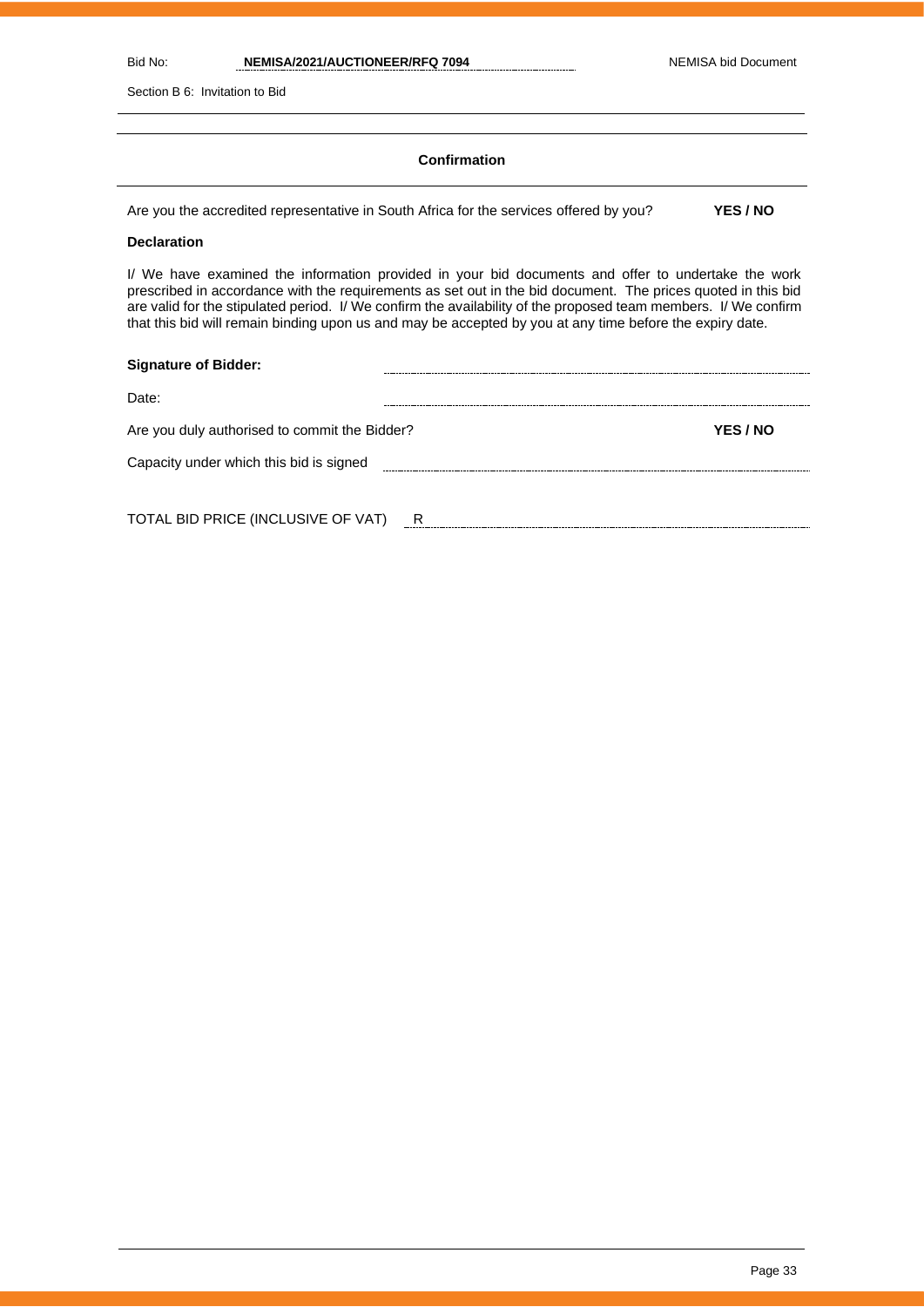Section B 6: Invitation to Bid

### **Confirmation**

Are you the accredited representative in South Africa for the services offered by you? **YES / NO**

**Declaration**

I/ We have examined the information provided in your bid documents and offer to undertake the work prescribed in accordance with the requirements as set out in the bid document. The prices quoted in this bid are valid for the stipulated period. I/ We confirm the availability of the proposed team members. I/ We confirm that this bid will remain binding upon us and may be accepted by you at any time before the expiry date.

| <b>Signature of Bidder:</b>                   |   |                 |
|-----------------------------------------------|---|-----------------|
| Date:                                         |   |                 |
| Are you duly authorised to commit the Bidder? |   | <b>YES / NO</b> |
| Capacity under which this bid is signed       |   |                 |
|                                               |   |                 |
| TOTAL BID PRICE (INCLUSIVE OF VAT)            | R |                 |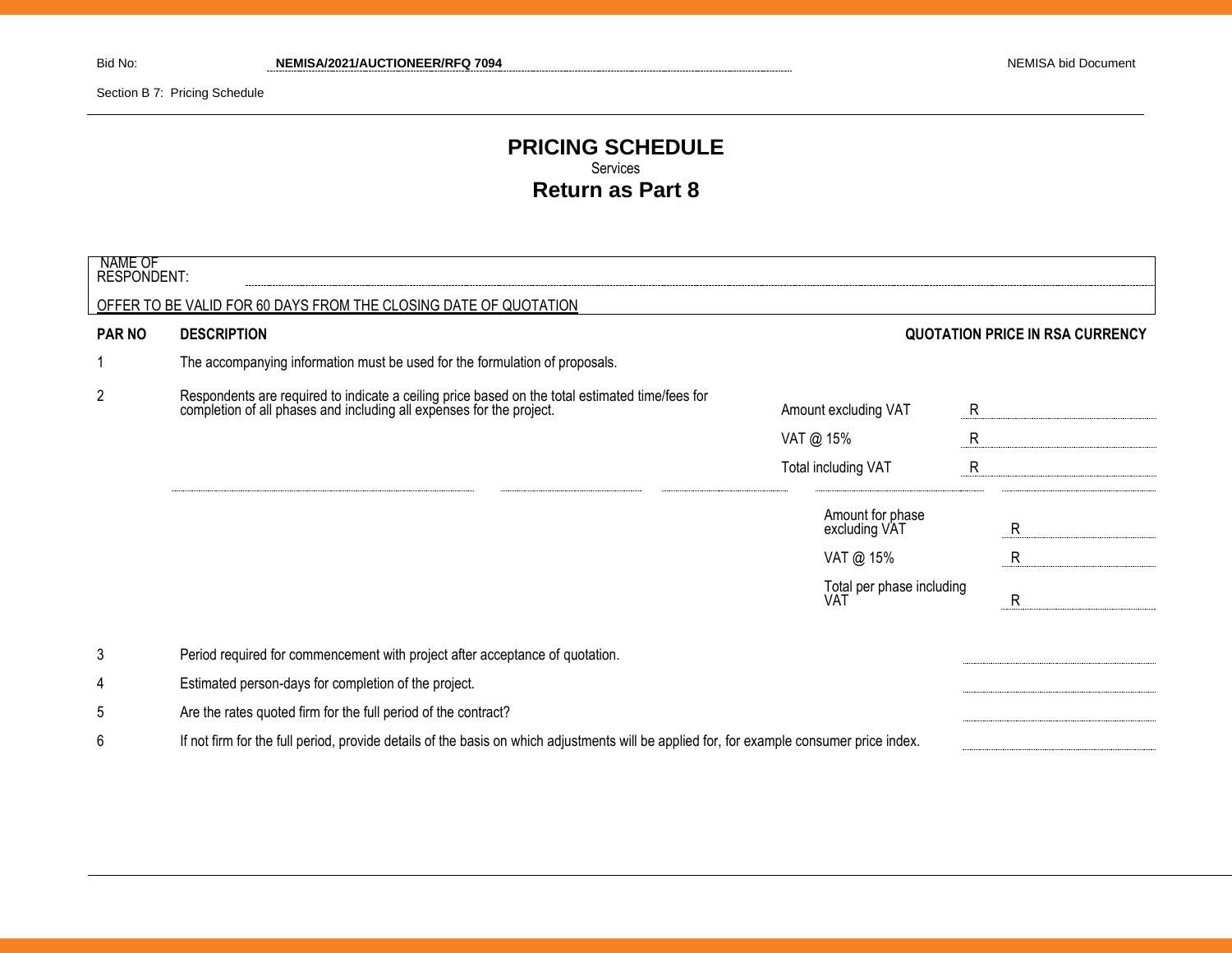Section B 7: Pricing Schedule

## **PRICING SCHEDULE** Services **Return as Part 8**

| NAME OF<br><b>RESPONDENT:</b> |                                                                                                                                                                      |                                         |                                        |
|-------------------------------|----------------------------------------------------------------------------------------------------------------------------------------------------------------------|-----------------------------------------|----------------------------------------|
|                               | OFFER TO BE VALID FOR 60 DAYS FROM THE CLOSING DATE OF QUOTATION                                                                                                     |                                         |                                        |
| <b>PAR NO</b>                 | <b>DESCRIPTION</b>                                                                                                                                                   |                                         | <b>QUOTATION PRICE IN RSA CURRENCY</b> |
|                               | The accompanying information must be used for the formulation of proposals.                                                                                          |                                         |                                        |
| $\overline{2}$                | Respondents are required to indicate a ceiling price based on the total estimated time/fees for completion of all phases and including all expenses for the project. | Amount excluding VAT                    | $\mathsf{R}$                           |
|                               |                                                                                                                                                                      | VAT @ 15%                               | $\mathsf{R}$                           |
|                               |                                                                                                                                                                      | Total including VAT                     | $\mathsf{R}$                           |
|                               |                                                                                                                                                                      | Amount for phase<br>excluding VAT       | R                                      |
|                               |                                                                                                                                                                      | VAT @ 15%                               | $\mathsf{R}$                           |
|                               |                                                                                                                                                                      | Total per phase including<br><b>VAT</b> | R                                      |
| 3                             | Period required for commencement with project after acceptance of quotation.                                                                                         |                                         |                                        |
| 4                             | Estimated person-days for completion of the project.                                                                                                                 |                                         |                                        |
| 5                             | Are the rates quoted firm for the full period of the contract?                                                                                                       |                                         |                                        |
| 6                             | If not firm for the full period, provide details of the basis on which adjustments will be applied for, for example consumer price index.                            |                                         |                                        |